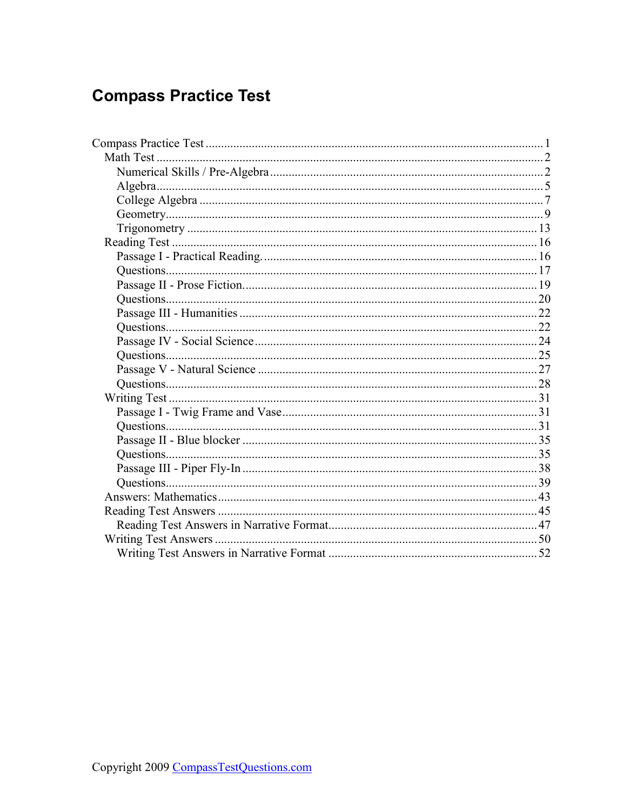# **Compass Practice Test**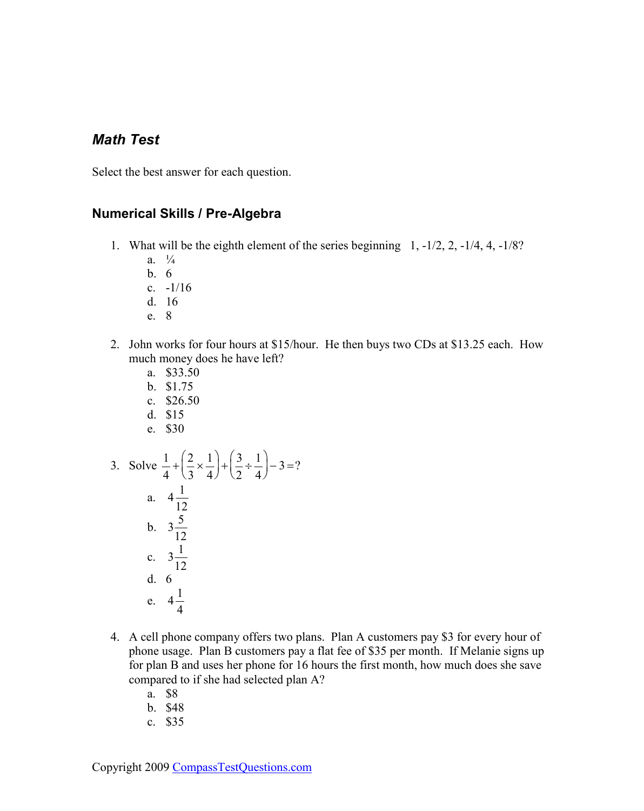### <span id="page-1-0"></span>*Math Test*

Select the best answer for each question.

#### **Numerical Skills / Pre-Algebra**

- 1. What will be the eighth element of the series beginning 1, -1/2, 2, -1/4, 4, -1/8?
	- a.  $\frac{1}{4}$
	- b. 6
	- c. -1/16
	- d. 16
	- e. 8
- 2. John works for four hours at \$15/hour. He then buys two CDs at \$13.25 each. How much money does he have left?
	- a. \$33.50
	- b. \$1.75
	- c. \$26.50
	- d. \$15
	- e. \$30
- 3. Solve  $\frac{1}{4}$ 4  $+\Big(\frac{2}{2}\Big)$ 3  $\times \frac{1}{4}$ 4 ſ l  $\mathsf{I}$  $\backslash$  $+\left(\frac{3}{2}\right)$ 2  $\div \frac{1}{4}$ 4 ſ l L  $\backslash$  $\int -3 = ?$ a.  $4\frac{1}{12}$ 12 b.  $3\frac{5}{16}$ 12 c.  $3\frac{1}{16}$ 12 d. 6 e.  $4\frac{1}{4}$ 4
- 4. A cell phone company offers two plans. Plan A customers pay \$3 for every hour of phone usage. Plan B customers pay a flat fee of \$35 per month. If Melanie signs up for plan B and uses her phone for 16 hours the first month, how much does she save compared to if she had selected plan A?
	- a. \$8
	- b. \$48
	- c. \$35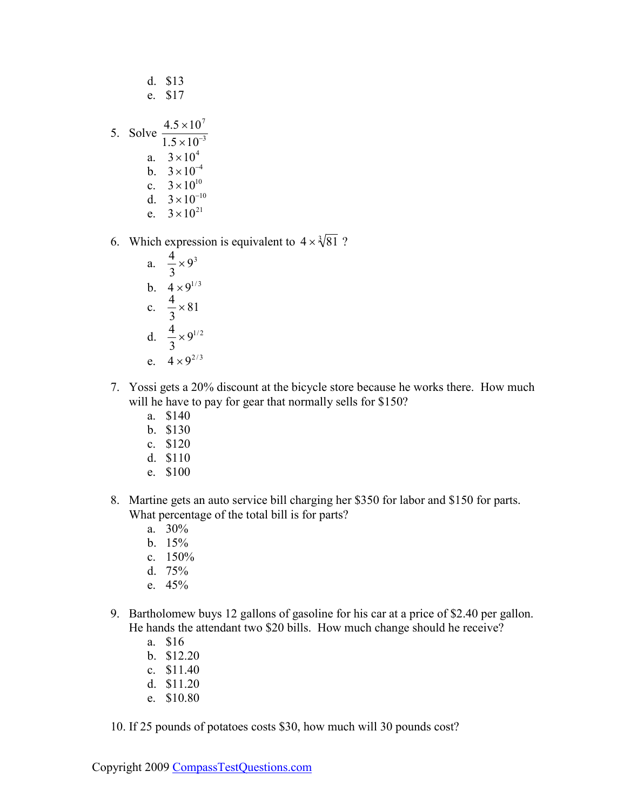| d. \$13                                               |
|-------------------------------------------------------|
| e. \$17                                               |
| 5. Solve $\frac{4.5 \times 10^7}{1.5 \times 10^{-3}}$ |
| a. $3 \times 10^4$                                    |
| b. $3 \times 10^{-4}$                                 |
| c. $3 \times 10^{10}$                                 |
| d. $3 \times 10^{-10}$                                |
| e. $3 \times 10^{21}$                                 |

 $\overline{1}$   $\overline{2}$ 

- 6. Which expression is equivalent to  $4 \times \sqrt[3]{81}$ ?
	- a.  $\frac{4}{3}$ 3  $\times$  9<sup>3</sup> b.  $4 \times 9^{1/3}$ c.  $\frac{4}{3}$ 3  $\times 81$ d.  $\frac{4}{2}$ 3  $\times 9^{1/2}$ e.  $4 \times 9^{2/3}$
- 7. Yossi gets a 20% discount at the bicycle store because he works there. How much will he have to pay for gear that normally sells for \$150?
	- a. \$140
	- b. \$130
	- c. \$120
	- d. \$110
	- e. \$100
- 8. Martine gets an auto service bill charging her \$350 for labor and \$150 for parts. What percentage of the total bill is for parts?
	- a. 30%
	- b. 15%
	- c. 150%
	- d. 75%
	- e. 45%
- 9. Bartholomew buys 12 gallons of gasoline for his car at a price of \$2.40 per gallon. He hands the attendant two \$20 bills. How much change should he receive?
	- a. \$16
	- b. \$12.20
	- c. \$11.40
	- d. \$11.20
	- e. \$10.80
- 10. If 25 pounds of potatoes costs \$30, how much will 30 pounds cost?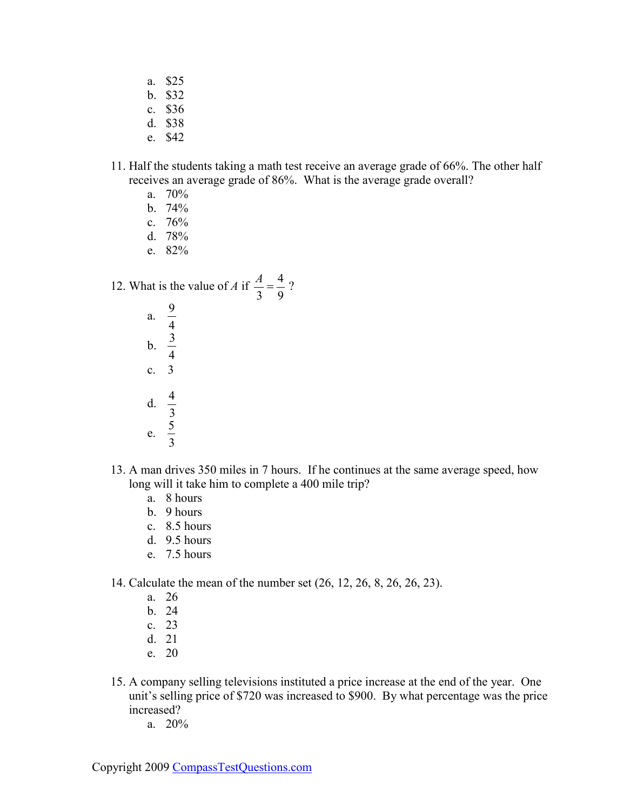- a. \$25
- b. \$32
- c. \$36
- d. \$38
- e. \$42
- 11. Half the students taking a math test receive an average grade of 66%. The other half receives an average grade of 86%. What is the average grade overall?
	- a. 70%
	- b. 74%
	- c. 76%
	- d. 78%
	- e. 82%

12. What is the value of *A* if  $\frac{A}{2}$ 3  $=\frac{4}{3}$ 9 ?

- a.  $\frac{9}{4}$ 4 b.  $\frac{3}{4}$ 4 c. 3 d.  $\frac{4}{2}$ 3 e.  $\frac{5}{2}$ 3
- 13. A man drives 350 miles in 7 hours. If he continues at the same average speed, how long will it take him to complete a 400 mile trip?
	- a. 8 hours
	- b. 9 hours
	- c. 8.5 hours
	- d. 9.5 hours
	- e. 7.5 hours

14. Calculate the mean of the number set (26, 12, 26, 8, 26, 26, 23).

- a. 26
- b. 24
- c. 23
- d. 21
- e. 20
- 15. A company selling televisions instituted a price increase at the end of the year. One unit's selling price of \$720 was increased to \$900. By what percentage was the price increased?
	- a. 20%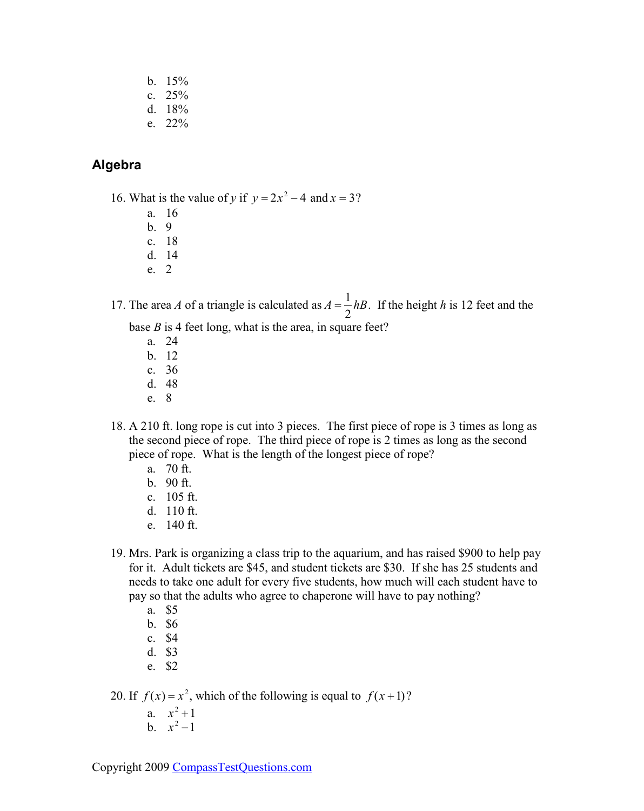- <span id="page-4-0"></span>b. 15%
- c. 25%
- d. 18%
- e. 22%

### **Algebra**

- 16. What is the value of *y* if  $y = 2x^2 4$  and  $x = 3$ ?
	- a. 16
	- b. 9
	- c. 18 d. 14
	- e. 2

17. The area *A* of a triangle is calculated as  $A = \frac{1}{2}$ *hB*. If the height *h* is 12 feet and the

2 base *B* is 4 feet long, what is the area, in square feet?

- a. 24 b. 12 c. 36
- d. 48
- e. 8
- 18. A 210 ft. long rope is cut into 3 pieces. The first piece of rope is 3 times as long as the second piece of rope. The third piece of rope is 2 times as long as the second piece of rope. What is the length of the longest piece of rope?
	- a. 70 ft.
	- b. 90 ft.
	- c. 105 ft.
	- d. 110 ft.
	- e. 140 ft.
- 19. Mrs. Park is organizing a class trip to the aquarium, and has raised \$900 to help pay for it. Adult tickets are \$45, and student tickets are \$30. If she has 25 students and needs to take one adult for every five students, how much will each student have to pay so that the adults who agree to chaperone will have to pay nothing?
	- a. \$5
	- b. \$6
	- c. \$4
	- d. \$3
	- e. \$2

20. If  $f(x) = x^2$ , which of the following is equal to  $f(x+1)$ ?

- a.  $x^2 + 1$
- b.  $x^2 1$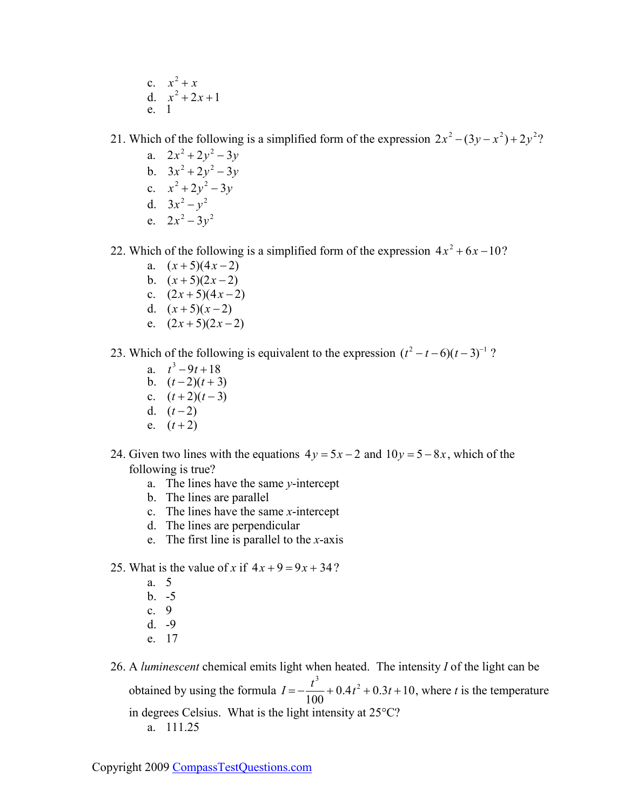c.  $x^2 + x$ d.  $x^2 + 2x + 1$ e. 1

21. Which of the following is a simplified form of the expression  $2x^2 - (3y - x^2) + 2y^2$ ?

- a.  $2x^2 + 2y^2 3y$ b.  $3x^2 + 2y^2 - 3y$ c.  $x^2 + 2y^2 - 3y$ d.  $3x^2 - y^2$
- e.  $2x^2 3y^2$

22. Which of the following is a simplified form of the expression  $4x^2 + 6x - 10$ ?

- a.  $(x+5)(4x-2)$
- b.  $(x+5)(2x-2)$
- c.  $(2x+5)(4x-2)$
- d.  $(x+5)(x-2)$
- e.  $(2x+5)(2x-2)$

23. Which of the following is equivalent to the expression  $(t^2 - t - 6)(t - 3)^{-1}$ ?

- a.  $t^3 9t + 18$ b.  $(t-2)(t+3)$ c.  $(t+2)(t-3)$ d.  $(t-2)$ e.  $(t+2)$
- 24. Given two lines with the equations  $4y = 5x 2$  and  $10y = 5 8x$ , which of the following is true?
	- a. The lines have the same *y*-intercept
	- b. The lines are parallel
	- c. The lines have the same *x*-intercept
	- d. The lines are perpendicular
	- e. The first line is parallel to the *x*-axis
- 25. What is the value of *x* if  $4x + 9 = 9x + 34$ ?
	- a. 5
	- b. -5
	- c. 9
	- d. -9
	- e. 17

26. A *luminescent* chemical emits light when heated. The intensity *I* of the light can be obtained by using the formula  $I = -\frac{t^3}{10}$ 100  $+ 0.4t^2 + 0.3t + 10$ , where *t* is the temperature in degrees Celsius. What is the light intensity at 25°C? a. 111.25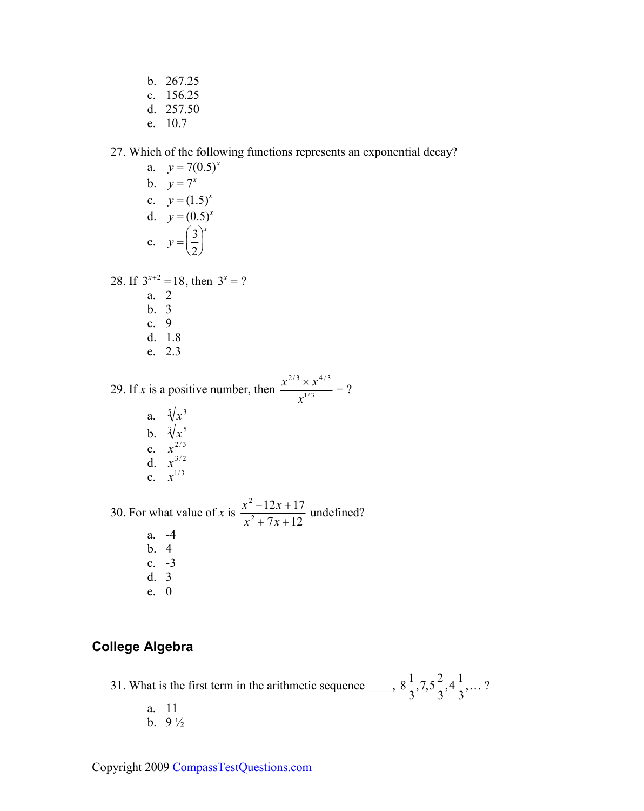<span id="page-6-0"></span>b. 267.25

- c. 156.25
- d. 257.50
- e. 10.7

#### 27. Which of the following functions represents an exponential decay?

- a.  $y = 7(0.5)^{x}$ b.  $y = 7^x$ c.  $y = (1.5)^x$ d.  $y = (0.5)^x$ e.  $y = \frac{3}{2}$ 2 ſ l  $\mathsf{I}$  $\backslash$ J  $\overline{\phantom{a}}$ *x* 28. If  $3^{x+2} = 18$ , then  $3^x = ?$ a. 2
	- b. 3 c. 9 d. 1.8 e. 2.3

29. If *x* is a positive number, then  $\frac{x^{2/3} \times x^{4/3}}{1/3}$  $\frac{x}{x^{1/3}}$  = ?

> a.  $\sqrt[5]{x^3}$ b.  $\sqrt[3]{x^5}$ c.  $x^{2/3}$ d.  $x^{3/2}$ e.  $x^{1/3}$

30. For what value of *x* is  $\frac{x^2 - 12x + 17}{2}$  $x^2 + 7x + 12$  undefined? a. -4 b. 4 c. -3 d. 3 e. 0

### **College Algebra**

31. What is the first term in the arithmetic sequence  $\frac{1}{2}$ , 8 $\frac{1}{2}$ 3  $,7,5\frac{2}{3}$ 3  $,4\frac{1}{2}$ 3 ,… ?

a. 11 b. 9 ½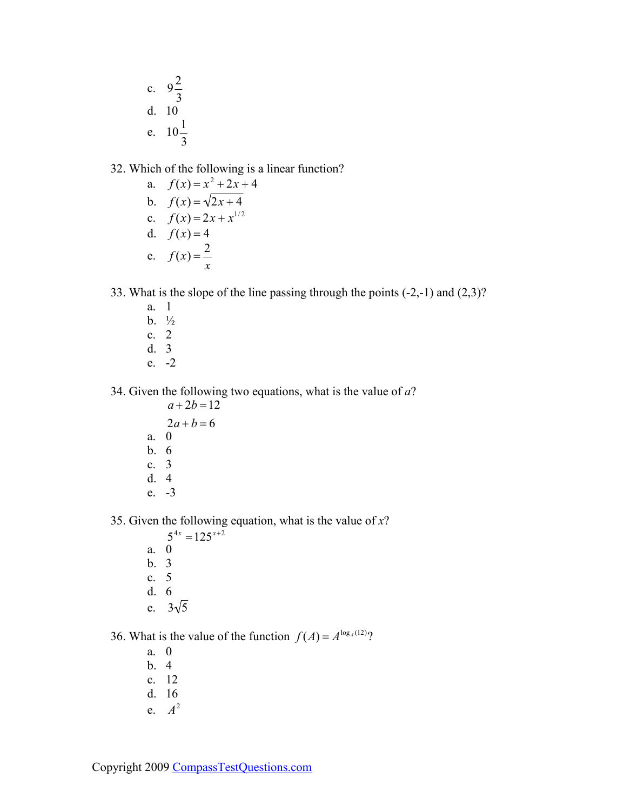c. 
$$
9\frac{2}{3}
$$
  
d. 10  
e.  $10\frac{1}{3}$ 

32. Which of the following is a linear function?

a. 
$$
f(x) = x^2 + 2x + 4
$$
  
\nb.  $f(x) = \sqrt{2x + 4}$   
\nc.  $f(x) = 2x + x^{1/2}$   
\nd.  $f(x) = 4$   
\ne.  $f(x) = \frac{2}{x}$ 

33. What is the slope of the line passing through the points (-2,-1) and (2,3)?

- a. 1 b. ½ c. 2 d. 3
- e. -2

34. Given the following two equations, what is the value of *a*?

- $a + 2b = 12$
- $2a + b = 6$
- a. 0
- b. 6 c. 3
- d. 4
- e. -3

35. Given the following equation, what is the value of *x*?

- $5^{4x} = 125^{x+2}$ a. 0 b. 3 c. 5 d. 6
- e.  $3\sqrt{5}$

36. What is the value of the function  $f(A) = A^{\log_A(12)}$ ?

- a. 0
- b. 4
- c. 12
- d. 16
- e. *A* 2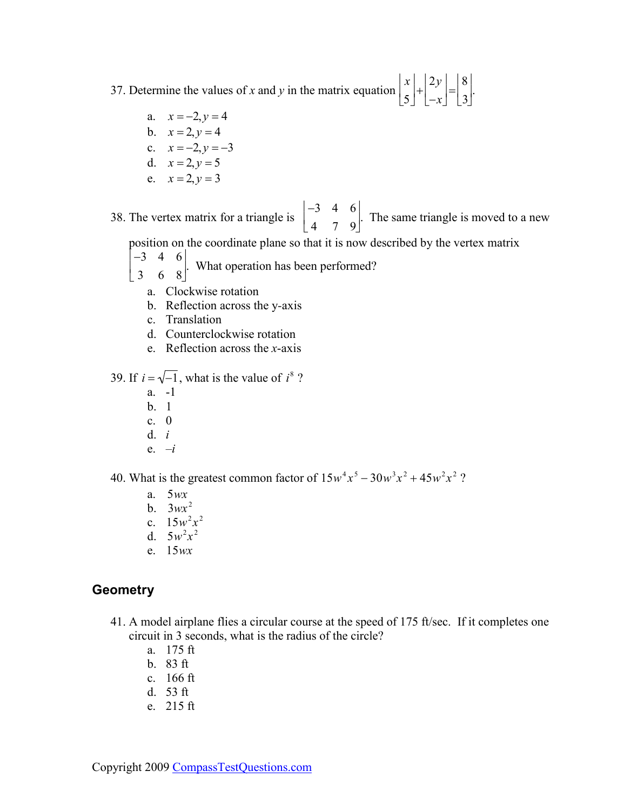<span id="page-8-0"></span>37. Determine the values of *x* and *y* in the matrix equation *x* 5  $\overline{a}$ L  $\mathsf{L}$  $\overline{\phantom{a}}$  $\rfloor$  $|+$ 2*y* −*x* Ŀ Ŀ  $\mathsf{L}$  $\overline{\phantom{a}}$  $\rfloor$  $\vert$  = 8 3 L L L  $\overline{\phantom{a}}$ J  $\cdot$ 

- a.  $x = -2, y = 4$
- b.  $x = 2, y = 4$
- c.  $x = -2, y = -3$
- d.  $x = 2, y = 5$ e.  $x = 2, y = 3$

38. The vertex matrix for a triangle is −3 4 6 4 7 9 J. L L  $\overline{\phantom{a}}$ J . The same triangle is moved to a new

position on the coordinate plane so that it is now described by the vertex matrix Ī.

- −3 4 6  $\overline{\phantom{a}}$ 」 . What operation has been performed?
- 3 6 8 L  $\mathsf{L}$ 
	- a. Clockwise rotation
	- b. Reflection across the y*-*axis
	- c. Translation
	- d. Counterclockwise rotation
	- e. Reflection across the *x*-axis

39. If 
$$
i = \sqrt{-1}
$$
, what is the value of  $i^8$ ?

- a. -1
- b. 1
- c. 0
- d. *i*
- e. *–i*

40. What is the greatest common factor of  $15w^4x^5 - 30w^3x^2 + 45w^2x^2$ ?

- a. 5*wx*
- b. 3*wx* 2
- c.  $15w^2x^2$
- d.  $5w^2x^2$
- e. 15*wx*

### **Geometry**

- 41. A model airplane flies a circular course at the speed of 175 ft/sec. If it completes one circuit in 3 seconds, what is the radius of the circle?
	- a. 175 ft
	- b. 83 ft
	- c. 166 ft
	- d. 53 ft
	- e. 215 ft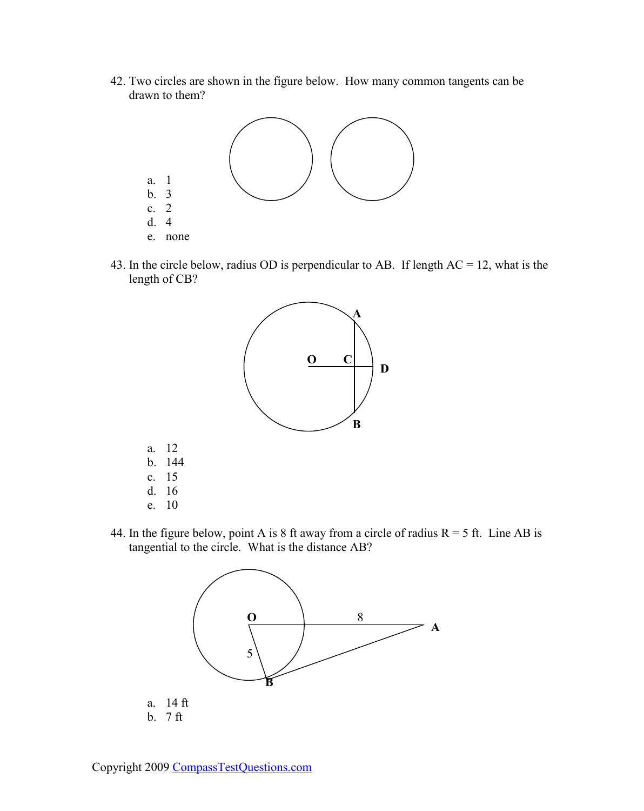42. Two circles are shown in the figure below. How many common tangents can be drawn to them?



43. In the circle below, radius OD is perpendicular to AB. If length AC = 12, what is the length of CB?



44. In the figure below, point A is 8 ft away from a circle of radius  $R = 5$  ft. Line AB is tangential to the circle. What is the distance AB?

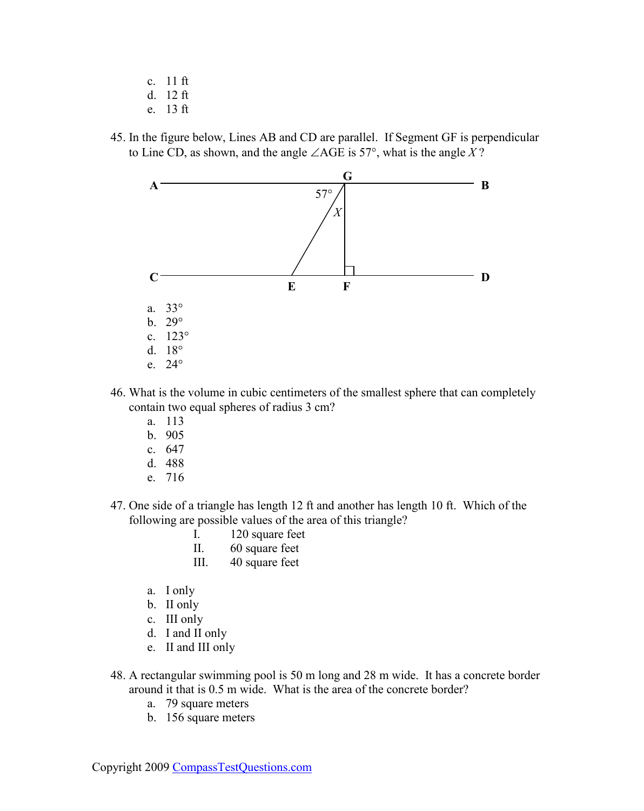- c. 11 ft
- d. 12 ft
- e. 13 ft
- 45. In the figure below, Lines AB and CD are parallel. If Segment GF is perpendicular to Line CD, as shown, and the angle ∠AGE is 57°, what is the angle *X* ?



- 46. What is the volume in cubic centimeters of the smallest sphere that can completely contain two equal spheres of radius 3 cm?
	- a. 113
	- b. 905
	- c. 647
	- d. 488
	- e. 716
- 47. One side of a triangle has length 12 ft and another has length 10 ft. Which of the following are possible values of the area of this triangle?
	- I. 120 square feet
	- II. 60 square feet
	- III. 40 square feet
	- a. I only
	- b. II only
	- c. III only
	- d. I and II only
	- e. II and III only
- 48. A rectangular swimming pool is 50 m long and 28 m wide. It has a concrete border around it that is 0.5 m wide. What is the area of the concrete border?
	- a. 79 square meters
	- b. 156 square meters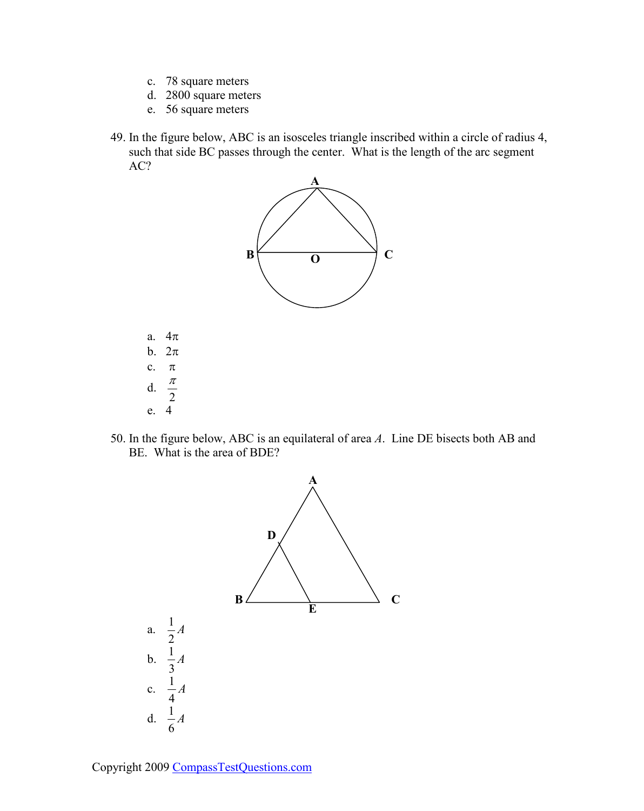- c. 78 square meters
- d. 2800 square meters
- e. 56 square meters
- 49. In the figure below, ABC is an isosceles triangle inscribed within a circle of radius 4, such that side BC passes through the center. What is the length of the arc segment AC?



- a. 4π b. 2π c. π  $d$ .  $rac{\pi}{2}$ e. 4
- 50. In the figure below, ABC is an equilateral of area *A*. Line DE bisects both AB and BE. What is the area of BDE?



Copyright 2009 [CompassTestQuestions.com](http://www.compasstestquestions.com/)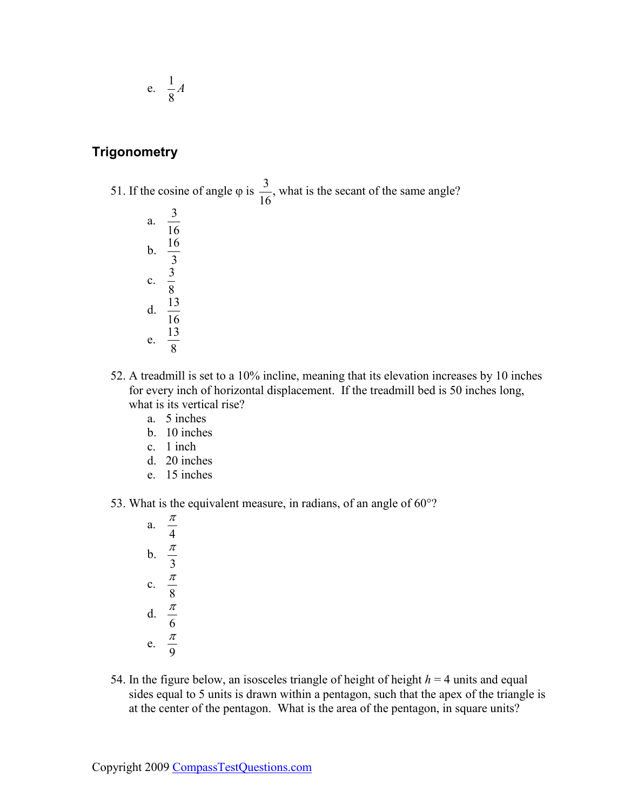<span id="page-12-0"></span>
$$
e. \quad \frac{1}{8}A
$$

### **Trigonometry**

51. If the cosine of angle  $\varphi$  is  $\frac{3}{16}$ 16 , what is the secant of the same angle? a.  $\frac{3}{16}$ 16 b.  $\frac{16}{2}$ 3 c.  $\frac{3}{6}$ 8 d.  $\frac{13}{16}$ 16 e.  $\frac{13}{6}$ 8

- 52. A treadmill is set to a 10% incline, meaning that its elevation increases by 10 inches for every inch of horizontal displacement. If the treadmill bed is 50 inches long, what is its vertical rise?
	- a. 5 inches
	- b. 10 inches
	- c. 1 inch
	- d. 20 inches
	- e. 15 inches
- 53. What is the equivalent measure, in radians, of an angle of 60°?

a.  $\frac{\pi}{4}$ 4 b.  $\frac{\pi}{2}$ 3 c.  $\frac{\pi}{a}$ 8 d.  $\frac{\pi}{4}$ 6 e.  $\frac{\pi}{2}$ 9

54. In the figure below, an isosceles triangle of height of height  $h = 4$  units and equal sides equal to 5 units is drawn within a pentagon, such that the apex of the triangle is at the center of the pentagon. What is the area of the pentagon, in square units?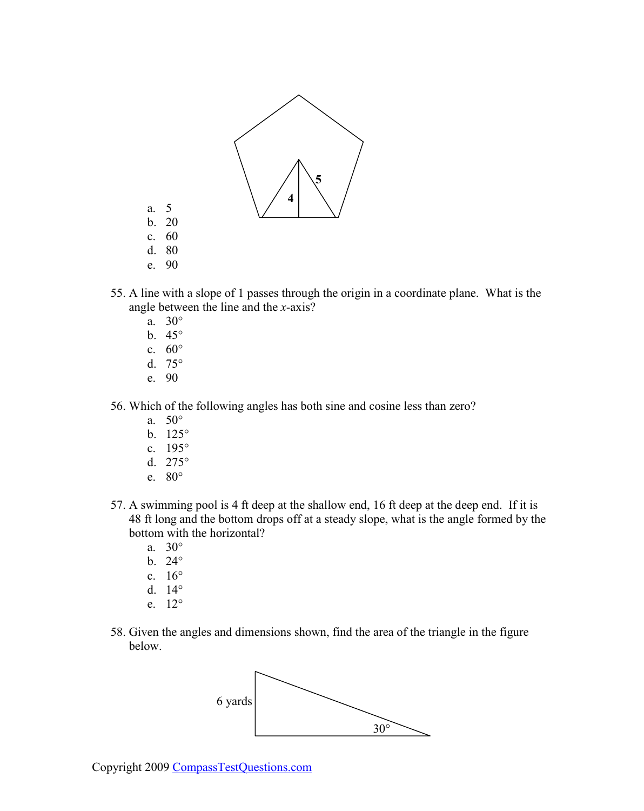

- 55. A line with a slope of 1 passes through the origin in a coordinate plane. What is the angle between the line and the *x*-axis?
	- a. 30°
	- b. 45°
	- c. 60°
	- d. 75°
	- e. 90
- 56. Which of the following angles has both sine and cosine less than zero?
	- a. 50°
	- b. 125°
	- c. 195°
	- d. 275°
	- e. 80°
- 57. A swimming pool is 4 ft deep at the shallow end, 16 ft deep at the deep end. If it is 48 ft long and the bottom drops off at a steady slope, what is the angle formed by the bottom with the horizontal?
	- a. 30°
	- b. 24°
	- c. 16°
	- d. 14°
	- e. 12°
- 58. Given the angles and dimensions shown, find the area of the triangle in the figure below.

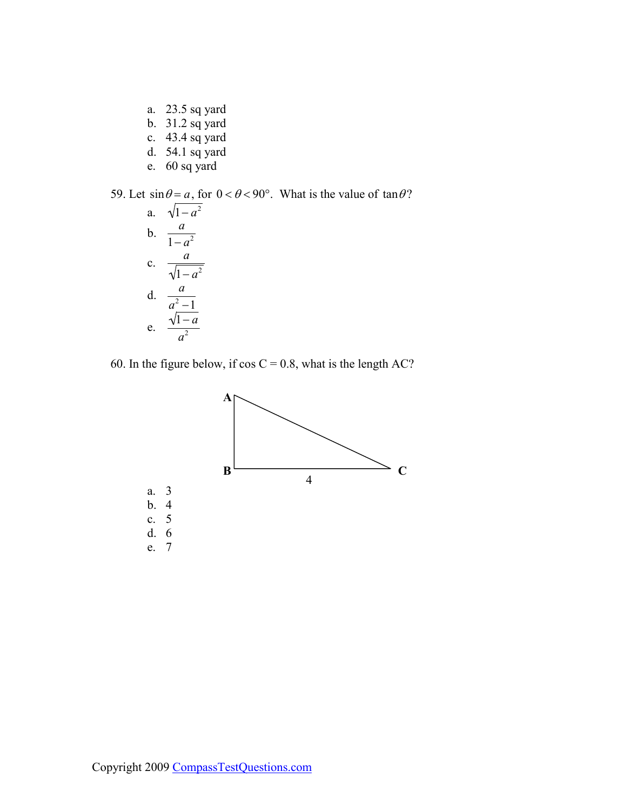- a. 23.5 sq yard
- b. 31.2 sq yard
- c. 43.4 sq yard
- d. 54.1 sq yard
- e. 60 sq yard

59. Let  $\sin \theta = a$ , for  $0 < \theta < 90^{\circ}$ . What is the value of  $\tan \theta$ ?

a. 
$$
\sqrt{1-a^2}
$$
  
\nb.  $\frac{a}{1-a^2}$   
\nc.  $\frac{a}{\sqrt{1-a^2}}$   
\nd.  $\frac{a}{a^2-1}$   
\ne.  $\frac{\sqrt{1-a}}{a^2}$ 

60. In the figure below, if  $\cos C = 0.8$ , what is the length AC?

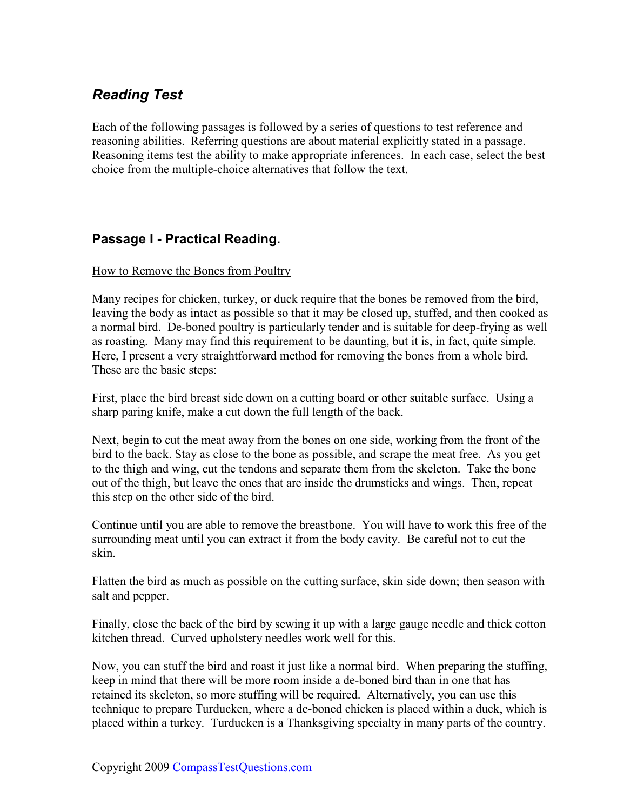# <span id="page-15-0"></span>*Reading Test*

Each of the following passages is followed by a series of questions to test reference and reasoning abilities. Referring questions are about material explicitly stated in a passage. Reasoning items test the ability to make appropriate inferences. In each case, select the best choice from the multiple-choice alternatives that follow the text.

### **Passage I - Practical Reading.**

#### How to Remove the Bones from Poultry

Many recipes for chicken, turkey, or duck require that the bones be removed from the bird, leaving the body as intact as possible so that it may be closed up, stuffed, and then cooked as a normal bird. De-boned poultry is particularly tender and is suitable for deep-frying as well as roasting. Many may find this requirement to be daunting, but it is, in fact, quite simple. Here, I present a very straightforward method for removing the bones from a whole bird. These are the basic steps:

First, place the bird breast side down on a cutting board or other suitable surface. Using a sharp paring knife, make a cut down the full length of the back.

Next, begin to cut the meat away from the bones on one side, working from the front of the bird to the back. Stay as close to the bone as possible, and scrape the meat free. As you get to the thigh and wing, cut the tendons and separate them from the skeleton. Take the bone out of the thigh, but leave the ones that are inside the drumsticks and wings. Then, repeat this step on the other side of the bird.

Continue until you are able to remove the breastbone. You will have to work this free of the surrounding meat until you can extract it from the body cavity. Be careful not to cut the skin.

Flatten the bird as much as possible on the cutting surface, skin side down; then season with salt and pepper.

Finally, close the back of the bird by sewing it up with a large gauge needle and thick cotton kitchen thread. Curved upholstery needles work well for this.

Now, you can stuff the bird and roast it just like a normal bird. When preparing the stuffing, keep in mind that there will be more room inside a de-boned bird than in one that has retained its skeleton, so more stuffing will be required. Alternatively, you can use this technique to prepare Turducken, where a de-boned chicken is placed within a duck, which is placed within a turkey. Turducken is a Thanksgiving specialty in many parts of the country.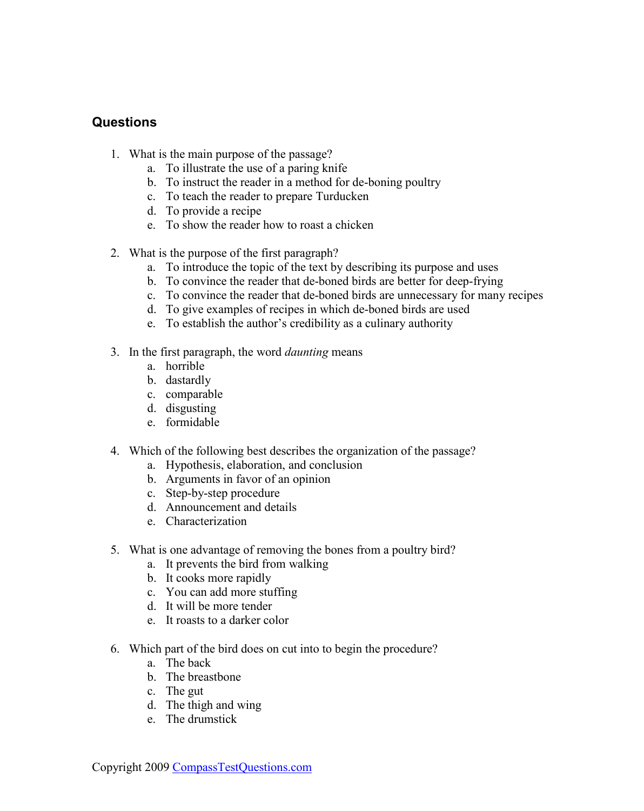### <span id="page-16-0"></span>**Questions**

- 1. What is the main purpose of the passage?
	- a. To illustrate the use of a paring knife
	- b. To instruct the reader in a method for de-boning poultry
	- c. To teach the reader to prepare Turducken
	- d. To provide a recipe
	- e. To show the reader how to roast a chicken
- 2. What is the purpose of the first paragraph?
	- a. To introduce the topic of the text by describing its purpose and uses
	- b. To convince the reader that de-boned birds are better for deep-frying
	- c. To convince the reader that de-boned birds are unnecessary for many recipes
	- d. To give examples of recipes in which de-boned birds are used
	- e. To establish the author's credibility as a culinary authority
- 3. In the first paragraph, the word *daunting* means
	- a. horrible
	- b. dastardly
	- c. comparable
	- d. disgusting
	- e. formidable
- 4. Which of the following best describes the organization of the passage?
	- a. Hypothesis, elaboration, and conclusion
	- b. Arguments in favor of an opinion
	- c. Step-by-step procedure
	- d. Announcement and details
	- e. Characterization
- 5. What is one advantage of removing the bones from a poultry bird?
	- a. It prevents the bird from walking
	- b. It cooks more rapidly
	- c. You can add more stuffing
	- d. It will be more tender
	- e. It roasts to a darker color
- 6. Which part of the bird does on cut into to begin the procedure?
	- a. The back
	- b. The breastbone
	- c. The gut
	- d. The thigh and wing
	- e. The drumstick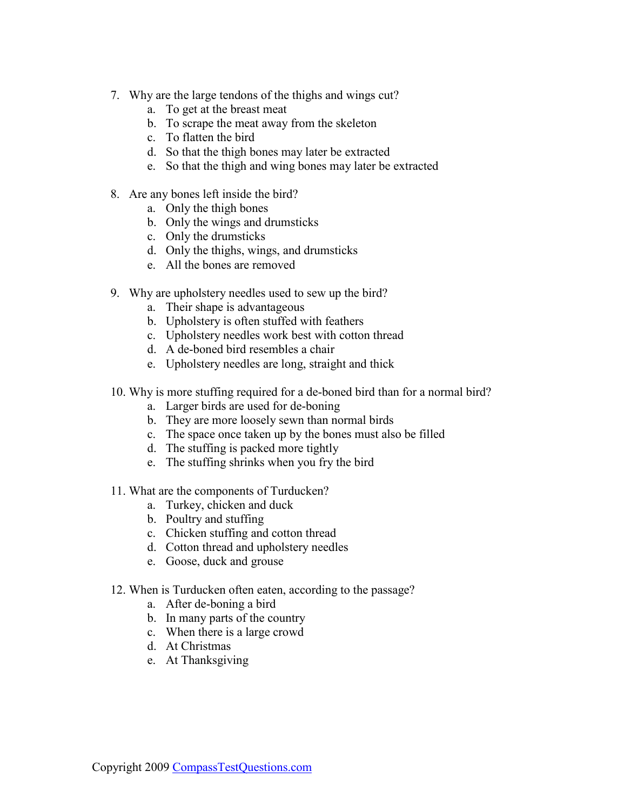- 7. Why are the large tendons of the thighs and wings cut?
	- a. To get at the breast meat
	- b. To scrape the meat away from the skeleton
	- c. To flatten the bird
	- d. So that the thigh bones may later be extracted
	- e. So that the thigh and wing bones may later be extracted
- 8. Are any bones left inside the bird?
	- a. Only the thigh bones
	- b. Only the wings and drumsticks
	- c. Only the drumsticks
	- d. Only the thighs, wings, and drumsticks
	- e. All the bones are removed
- 9. Why are upholstery needles used to sew up the bird?
	- a. Their shape is advantageous
	- b. Upholstery is often stuffed with feathers
	- c. Upholstery needles work best with cotton thread
	- d. A de-boned bird resembles a chair
	- e. Upholstery needles are long, straight and thick
- 10. Why is more stuffing required for a de-boned bird than for a normal bird?
	- a. Larger birds are used for de-boning
	- b. They are more loosely sewn than normal birds
	- c. The space once taken up by the bones must also be filled
	- d. The stuffing is packed more tightly
	- e. The stuffing shrinks when you fry the bird
- 11. What are the components of Turducken?
	- a. Turkey, chicken and duck
	- b. Poultry and stuffing
	- c. Chicken stuffing and cotton thread
	- d. Cotton thread and upholstery needles
	- e. Goose, duck and grouse
- 12. When is Turducken often eaten, according to the passage?
	- a. After de-boning a bird
	- b. In many parts of the country
	- c. When there is a large crowd
	- d. At Christmas
	- e. At Thanksgiving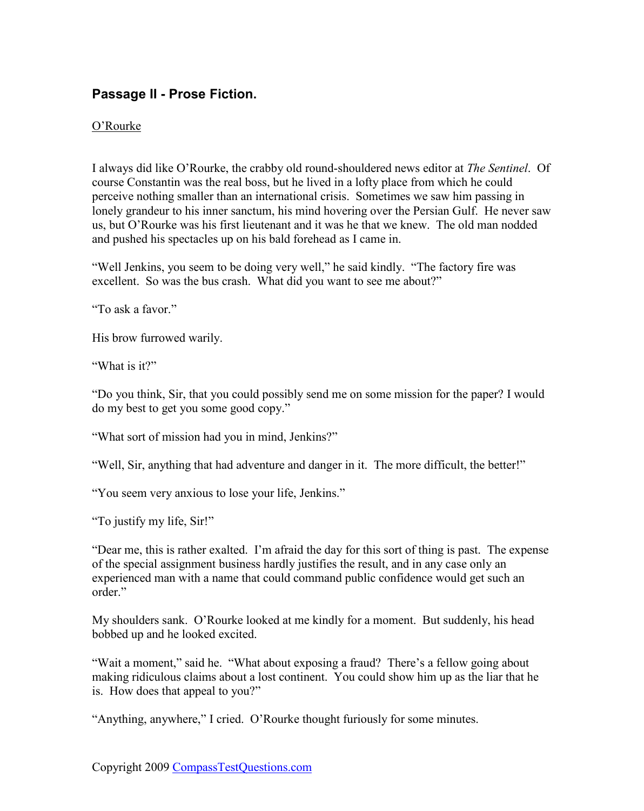### <span id="page-18-0"></span>**Passage II - Prose Fiction.**

#### O'Rourke

I always did like O'Rourke, the crabby old round-shouldered news editor at *The Sentinel*. Of course Constantin was the real boss, but he lived in a lofty place from which he could perceive nothing smaller than an international crisis. Sometimes we saw him passing in lonely grandeur to his inner sanctum, his mind hovering over the Persian Gulf. He never saw us, but O'Rourke was his first lieutenant and it was he that we knew. The old man nodded and pushed his spectacles up on his bald forehead as I came in.

"Well Jenkins, you seem to be doing very well," he said kindly. "The factory fire was excellent. So was the bus crash. What did you want to see me about?"

"To ask a favor"

His brow furrowed warily.

"What is it?"

"Do you think, Sir, that you could possibly send me on some mission for the paper? I would do my best to get you some good copy."

"What sort of mission had you in mind, Jenkins?"

"Well, Sir, anything that had adventure and danger in it. The more difficult, the better!"

"You seem very anxious to lose your life, Jenkins."

"To justify my life, Sir!"

"Dear me, this is rather exalted. I'm afraid the day for this sort of thing is past. The expense of the special assignment business hardly justifies the result, and in any case only an experienced man with a name that could command public confidence would get such an order."

My shoulders sank. O'Rourke looked at me kindly for a moment. But suddenly, his head bobbed up and he looked excited.

"Wait a moment," said he. "What about exposing a fraud? There's a fellow going about making ridiculous claims about a lost continent. You could show him up as the liar that he is. How does that appeal to you?"

"Anything, anywhere," I cried. O'Rourke thought furiously for some minutes.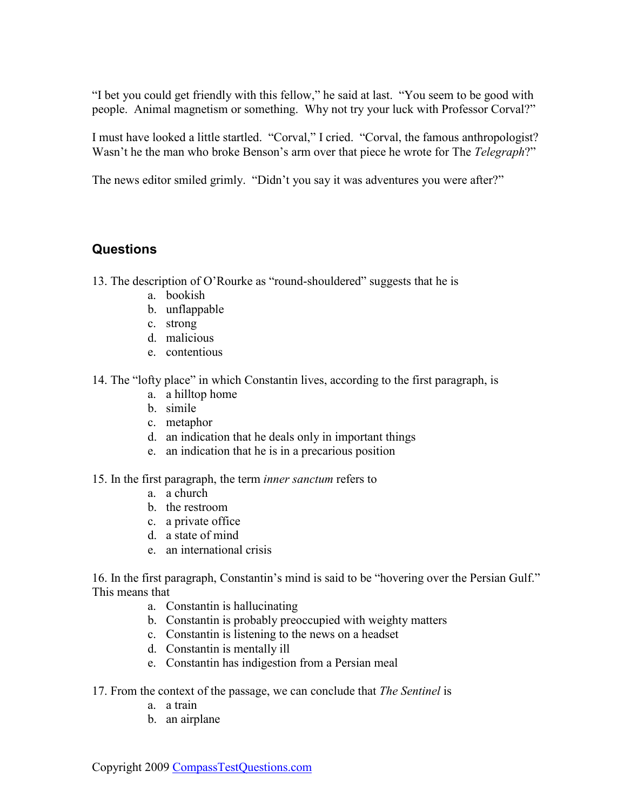<span id="page-19-0"></span>"I bet you could get friendly with this fellow," he said at last. "You seem to be good with people. Animal magnetism or something. Why not try your luck with Professor Corval?"

I must have looked a little startled. "Corval," I cried. "Corval, the famous anthropologist? Wasn't he the man who broke Benson's arm over that piece he wrote for The *Telegraph*?"

The news editor smiled grimly. "Didn't you say it was adventures you were after?"

### **Questions**

13. The description of O'Rourke as "round-shouldered" suggests that he is

- a. bookish
- b. unflappable
- c. strong
- d. malicious
- e. contentious

14. The "lofty place" in which Constantin lives, according to the first paragraph, is

- a. a hilltop home
- b. simile
- c. metaphor
- d. an indication that he deals only in important things
- e. an indication that he is in a precarious position

15. In the first paragraph, the term *inner sanctum* refers to

- a. a church
- b. the restroom
- c. a private office
- d. a state of mind
- e. an international crisis

16. In the first paragraph, Constantin's mind is said to be "hovering over the Persian Gulf." This means that

- a. Constantin is hallucinating
- b. Constantin is probably preoccupied with weighty matters
- c. Constantin is listening to the news on a headset
- d. Constantin is mentally ill
- e. Constantin has indigestion from a Persian meal
- 17. From the context of the passage, we can conclude that *The Sentinel* is
	- a. a train
	- b. an airplane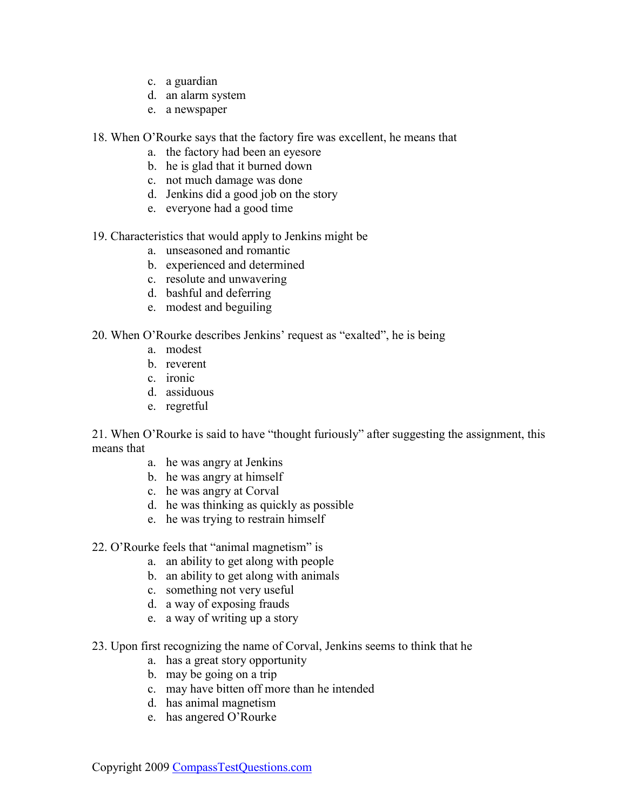- c. a guardian
- d. an alarm system
- e. a newspaper
- 18. When O'Rourke says that the factory fire was excellent, he means that
	- a. the factory had been an eyesore
	- b. he is glad that it burned down
	- c. not much damage was done
	- d. Jenkins did a good job on the story
	- e. everyone had a good time
- 19. Characteristics that would apply to Jenkins might be
	- a. unseasoned and romantic
	- b. experienced and determined
	- c. resolute and unwavering
	- d. bashful and deferring
	- e. modest and beguiling

#### 20. When O'Rourke describes Jenkins' request as "exalted", he is being

- a. modest
- b. reverent
- c. ironic
- d. assiduous
- e. regretful

21. When O'Rourke is said to have "thought furiously" after suggesting the assignment, this means that

- a. he was angry at Jenkins
- b. he was angry at himself
- c. he was angry at Corval
- d. he was thinking as quickly as possible
- e. he was trying to restrain himself
- 22. O'Rourke feels that "animal magnetism" is
	- a. an ability to get along with people
	- b. an ability to get along with animals
	- c. something not very useful
	- d. a way of exposing frauds
	- e. a way of writing up a story
- 23. Upon first recognizing the name of Corval, Jenkins seems to think that he
	- a. has a great story opportunity
	- b. may be going on a trip
	- c. may have bitten off more than he intended
	- d. has animal magnetism
	- e. has angered O'Rourke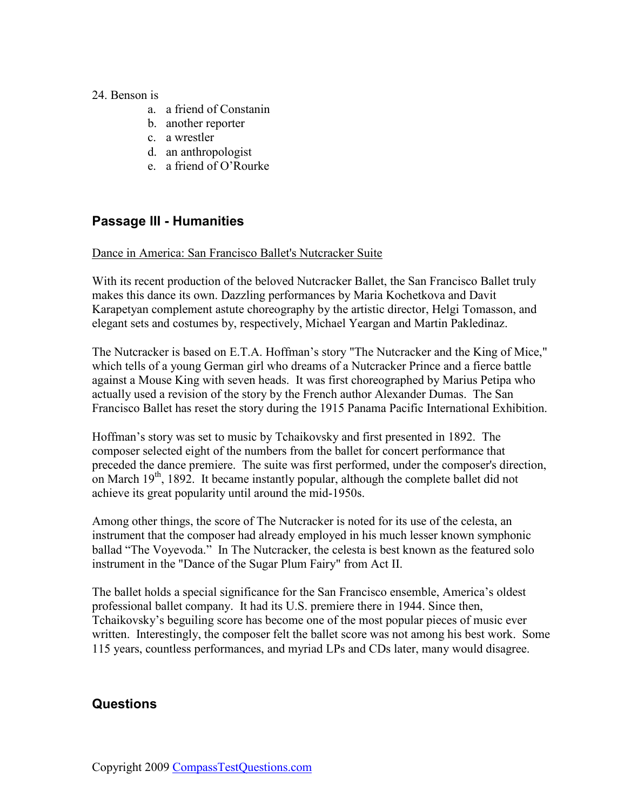#### <span id="page-21-0"></span>24. Benson is

- a. a friend of Constanin
- b. another reporter
- c. a wrestler
- d. an anthropologist
- e. a friend of O'Rourke

### **Passage III - Humanities**

#### Dance in America: San Francisco Ballet's Nutcracker Suite

With its recent production of the beloved Nutcracker Ballet, the San Francisco Ballet truly makes this dance its own. Dazzling performances by Maria Kochetkova and Davit Karapetyan complement astute choreography by the artistic director, Helgi Tomasson, and elegant sets and costumes by, respectively, Michael Yeargan and Martin Pakledinaz.

The Nutcracker is based on E.T.A. Hoffman's story "The Nutcracker and the King of Mice," which tells of a young German girl who dreams of a Nutcracker Prince and a fierce battle against a Mouse King with seven heads. It was first choreographed by Marius Petipa who actually used a revision of the story by the French author Alexander Dumas. The San Francisco Ballet has reset the story during the 1915 Panama Pacific International Exhibition.

Hoffman's story was set to music by Tchaikovsky and first presented in 1892. The composer selected eight of the numbers from the ballet for concert performance that preceded the dance premiere. The suite was first performed, under the composer's direction, on March  $19<sup>th</sup>$ , 1892. It became instantly popular, although the complete ballet did not achieve its great popularity until around the mid-1950s.

Among other things, the score of The Nutcracker is noted for its use of the celesta, an instrument that the composer had already employed in his much lesser known symphonic ballad "The Voyevoda." In The Nutcracker, the celesta is best known as the featured solo instrument in the "Dance of the Sugar Plum Fairy" from Act II.

The ballet holds a special significance for the San Francisco ensemble, America's oldest professional ballet company. It had its U.S. premiere there in 1944. Since then, Tchaikovsky's beguiling score has become one of the most popular pieces of music ever written. Interestingly, the composer felt the ballet score was not among his best work. Some 115 years, countless performances, and myriad LPs and CDs later, many would disagree.

### **Questions**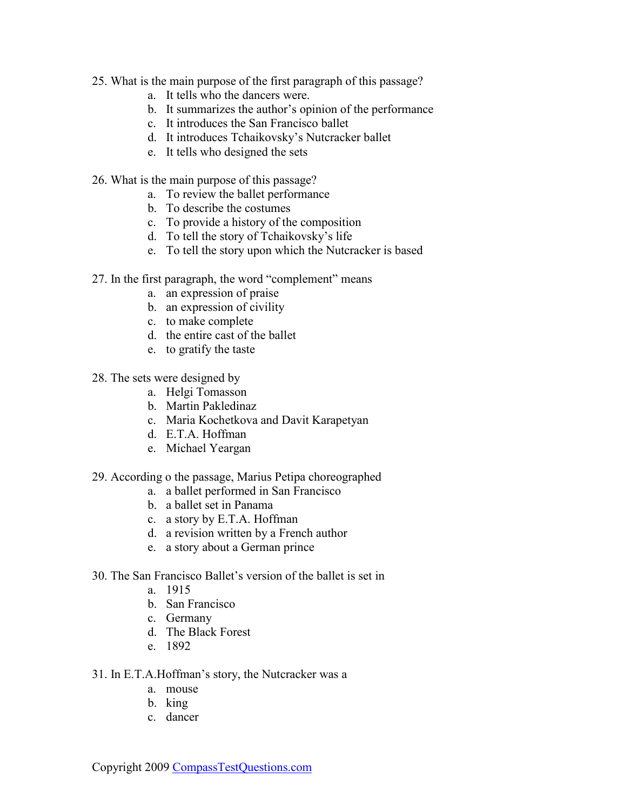- 25. What is the main purpose of the first paragraph of this passage?
	- a. It tells who the dancers were.
	- b. It summarizes the author's opinion of the performance
	- c. It introduces the San Francisco ballet
	- d. It introduces Tchaikovsky's Nutcracker ballet
	- e. It tells who designed the sets
- 26. What is the main purpose of this passage?
	- a. To review the ballet performance
	- b. To describe the costumes
	- c. To provide a history of the composition
	- d. To tell the story of Tchaikovsky's life
	- e. To tell the story upon which the Nutcracker is based
- 27. In the first paragraph, the word "complement" means
	- a. an expression of praise
	- b. an expression of civility
	- c. to make complete
	- d. the entire cast of the ballet
	- e. to gratify the taste

28. The sets were designed by

- a. Helgi Tomasson
- b. Martin Pakledinaz
- c. Maria Kochetkova and Davit Karapetyan
- d. E.T.A. Hoffman
- e. Michael Yeargan

#### 29. According o the passage, Marius Petipa choreographed

- a. a ballet performed in San Francisco
- b. a ballet set in Panama
- c. a story by E.T.A. Hoffman
- d. a revision written by a French author
- e. a story about a German prince
- 30. The San Francisco Ballet's version of the ballet is set in
	- a. 1915
	- b. San Francisco
	- c. Germany
	- d. The Black Forest
	- e. 1892
- 31. In E.T.A.Hoffman's story, the Nutcracker was a
	- a. mouse
	- b. king
	- c. dancer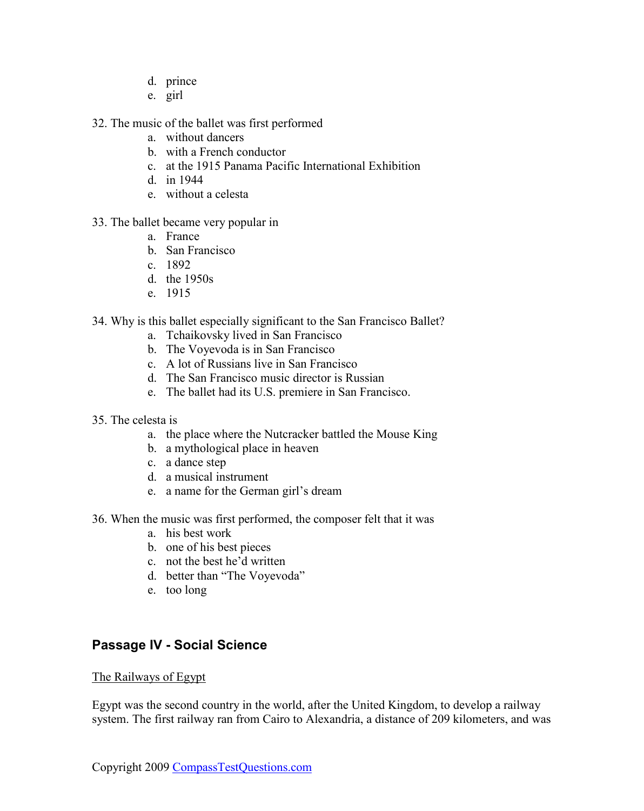- d. prince
- e. girl
- <span id="page-23-0"></span>32. The music of the ballet was first performed
	- a. without dancers
	- b. with a French conductor
	- c. at the 1915 Panama Pacific International Exhibition
	- d. in 1944
	- e. without a celesta
- 33. The ballet became very popular in
	- a. France
	- b. San Francisco
	- c. 1892
	- d. the 1950s
	- e. 1915
- 34. Why is this ballet especially significant to the San Francisco Ballet?
	- a. Tchaikovsky lived in San Francisco
	- b. The Voyevoda is in San Francisco
	- c. A lot of Russians live in San Francisco
	- d. The San Francisco music director is Russian
	- e. The ballet had its U.S. premiere in San Francisco.
- 35. The celesta is
	- a. the place where the Nutcracker battled the Mouse King
	- b. a mythological place in heaven
	- c. a dance step
	- d. a musical instrument
	- e. a name for the German girl's dream
- 36. When the music was first performed, the composer felt that it was
	- a. his best work
	- b. one of his best pieces
	- c. not the best he'd written
	- d. better than "The Voyevoda"
	- e. too long

### **Passage IV - Social Science**

#### The Railways of Egypt

Egypt was the second country in the world, after the United Kingdom, to develop a railway system. The first railway ran from Cairo to Alexandria, a distance of 209 kilometers, and was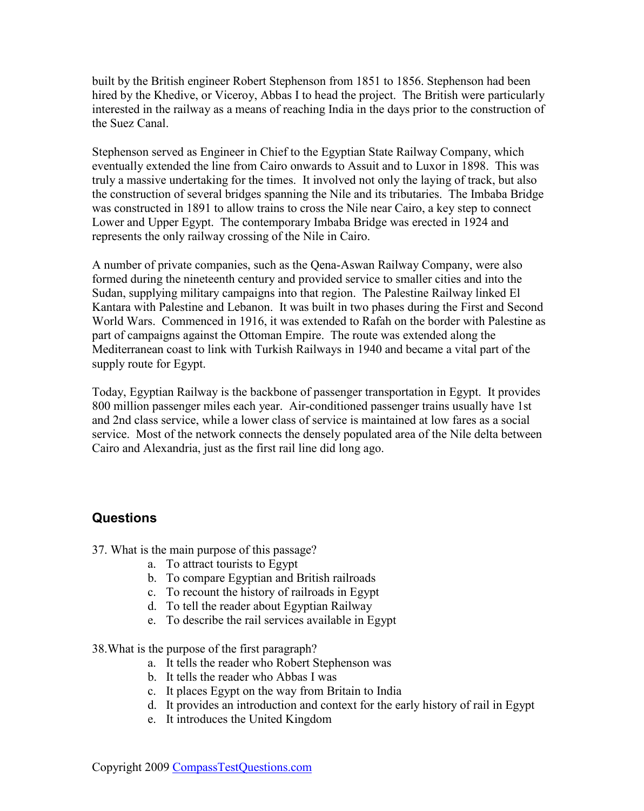<span id="page-24-0"></span>built by the British engineer Robert Stephenson from 1851 to 1856. Stephenson had been hired by the Khedive, or Viceroy, Abbas I to head the project. The British were particularly interested in the railway as a means of reaching India in the days prior to the construction of the Suez Canal.

Stephenson served as Engineer in Chief to the Egyptian State Railway Company, which eventually extended the line from Cairo onwards to Assuit and to Luxor in 1898. This was truly a massive undertaking for the times. It involved not only the laying of track, but also the construction of several bridges spanning the Nile and its tributaries. The Imbaba Bridge was constructed in 1891 to allow trains to cross the Nile near Cairo, a key step to connect Lower and Upper Egypt. The contemporary Imbaba Bridge was erected in 1924 and represents the only railway crossing of the Nile in Cairo.

A number of private companies, such as the Qena-Aswan Railway Company, were also formed during the nineteenth century and provided service to smaller cities and into the Sudan, supplying military campaigns into that region. The Palestine Railway linked El Kantara with Palestine and Lebanon. It was built in two phases during the First and Second World Wars. Commenced in 1916, it was extended to Rafah on the border with Palestine as part of campaigns against the Ottoman Empire. The route was extended along the Mediterranean coast to link with Turkish Railways in 1940 and became a vital part of the supply route for Egypt.

Today, Egyptian Railway is the backbone of passenger transportation in Egypt. It provides 800 million passenger miles each year. Air-conditioned passenger trains usually have 1st and 2nd class service, while a lower class of service is maintained at low fares as a social service. Most of the network connects the densely populated area of the Nile delta between Cairo and Alexandria, just as the first rail line did long ago.

### **Questions**

37. What is the main purpose of this passage?

- a. To attract tourists to Egypt
- b. To compare Egyptian and British railroads
- c. To recount the history of railroads in Egypt
- d. To tell the reader about Egyptian Railway
- e. To describe the rail services available in Egypt

38.What is the purpose of the first paragraph?

- a. It tells the reader who Robert Stephenson was
- b. It tells the reader who Abbas I was
- c. It places Egypt on the way from Britain to India
- d. It provides an introduction and context for the early history of rail in Egypt
- e. It introduces the United Kingdom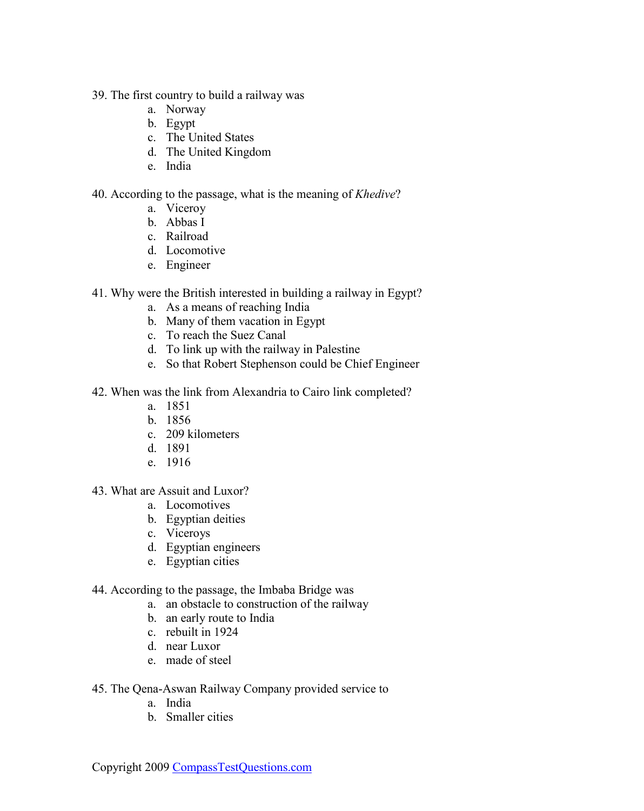- 39. The first country to build a railway was
	- a. Norway
	- b. Egypt
	- c. The United States
	- d. The United Kingdom
	- e. India

40. According to the passage, what is the meaning of *Khedive*?

- a. Viceroy
- b. Abbas I
- c. Railroad
- d. Locomotive
- e. Engineer
- 41. Why were the British interested in building a railway in Egypt?
	- a. As a means of reaching India
	- b. Many of them vacation in Egypt
	- c. To reach the Suez Canal
	- d. To link up with the railway in Palestine
	- e. So that Robert Stephenson could be Chief Engineer
- 42. When was the link from Alexandria to Cairo link completed?
	- a. 1851
	- b. 1856
	- c. 209 kilometers
	- d. 1891
	- e. 1916
- 43. What are Assuit and Luxor?
	- a. Locomotives
	- b. Egyptian deities
	- c. Viceroys
	- d. Egyptian engineers
	- e. Egyptian cities
- 44. According to the passage, the Imbaba Bridge was
	- a. an obstacle to construction of the railway
	- b. an early route to India
	- c. rebuilt in 1924
	- d. near Luxor
	- e. made of steel
- 45. The Qena-Aswan Railway Company provided service to
	- a. India
	- b. Smaller cities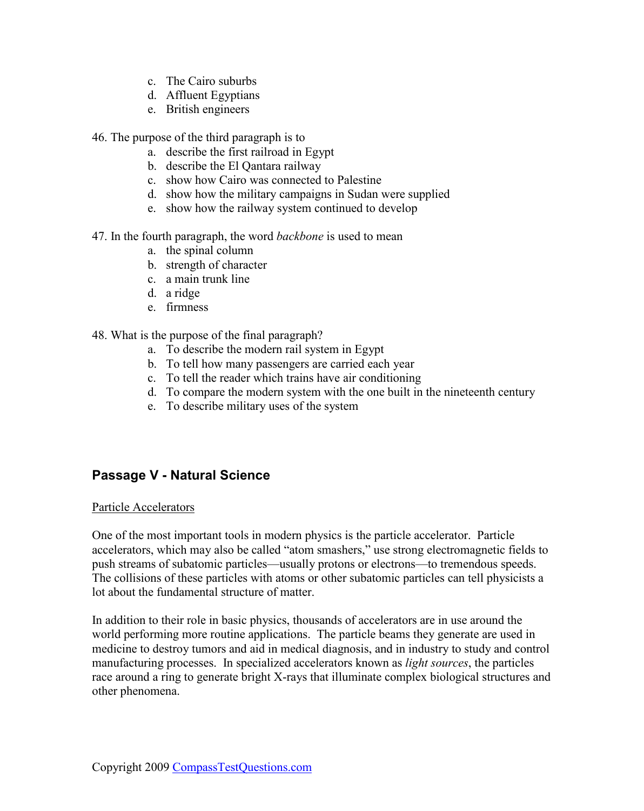- c. The Cairo suburbs
- d. Affluent Egyptians
- e. British engineers

<span id="page-26-0"></span>46. The purpose of the third paragraph is to

- a. describe the first railroad in Egypt
- b. describe the El Qantara railway
- c. show how Cairo was connected to Palestine
- d. show how the military campaigns in Sudan were supplied
- e. show how the railway system continued to develop

47. In the fourth paragraph, the word *backbone* is used to mean

- a. the spinal column
- b. strength of character
- c. a main trunk line
- d. a ridge
- e. firmness

#### 48. What is the purpose of the final paragraph?

- a. To describe the modern rail system in Egypt
- b. To tell how many passengers are carried each year
- c. To tell the reader which trains have air conditioning
- d. To compare the modern system with the one built in the nineteenth century
- e. To describe military uses of the system

### **Passage V - Natural Science**

#### Particle Accelerators

One of the most important tools in modern physics is the particle accelerator. Particle accelerators, which may also be called "atom smashers," use strong electromagnetic fields to push streams of subatomic particles—usually protons or electrons—to tremendous speeds. The collisions of these particles with atoms or other subatomic particles can tell physicists a lot about the fundamental structure of matter.

In addition to their role in basic physics, thousands of accelerators are in use around the world performing more routine applications. The particle beams they generate are used in medicine to destroy tumors and aid in medical diagnosis, and in industry to study and control manufacturing processes. In specialized accelerators known as *light sources*, the particles race around a ring to generate bright X-rays that illuminate complex biological structures and other phenomena.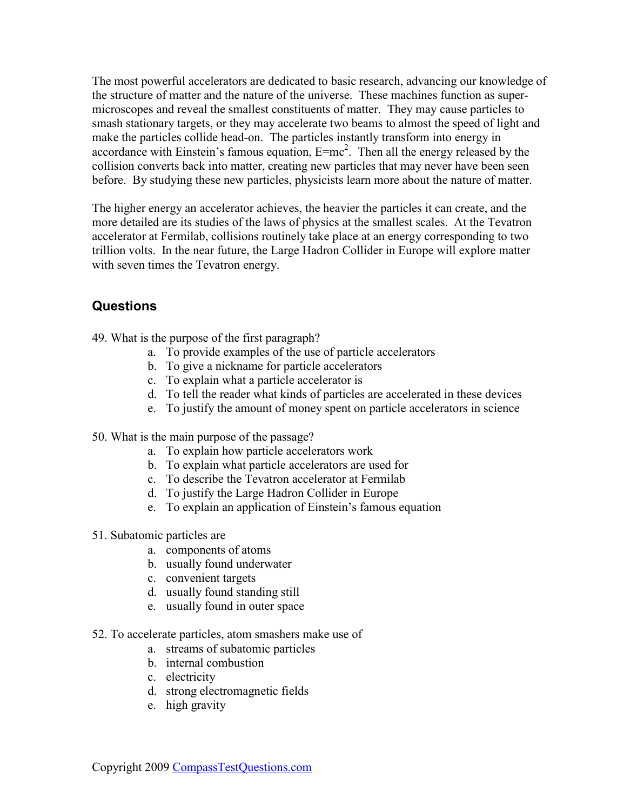<span id="page-27-0"></span>The most powerful accelerators are dedicated to basic research, advancing our knowledge of the structure of matter and the nature of the universe. These machines function as supermicroscopes and reveal the smallest constituents of matter. They may cause particles to smash stationary targets, or they may accelerate two beams to almost the speed of light and make the particles collide head-on. The particles instantly transform into energy in accordance with Einstein's famous equation,  $E=mc^2$ . Then all the energy released by the collision converts back into matter, creating new particles that may never have been seen before. By studying these new particles, physicists learn more about the nature of matter.

The higher energy an accelerator achieves, the heavier the particles it can create, and the more detailed are its studies of the laws of physics at the smallest scales. At the Tevatron accelerator at Fermilab, collisions routinely take place at an energy corresponding to two trillion volts. In the near future, the Large Hadron Collider in Europe will explore matter with seven times the Tevatron energy.

### **Questions**

- 49. What is the purpose of the first paragraph?
	- a. To provide examples of the use of particle accelerators
	- b. To give a nickname for particle accelerators
	- c. To explain what a particle accelerator is
	- d. To tell the reader what kinds of particles are accelerated in these devices
	- e. To justify the amount of money spent on particle accelerators in science
- 50. What is the main purpose of the passage?
	- a. To explain how particle accelerators work
	- b. To explain what particle accelerators are used for
	- c. To describe the Tevatron accelerator at Fermilab
	- d. To justify the Large Hadron Collider in Europe
	- e. To explain an application of Einstein's famous equation
- 51. Subatomic particles are
	- a. components of atoms
	- b. usually found underwater
	- c. convenient targets
	- d. usually found standing still
	- e. usually found in outer space
- 52. To accelerate particles, atom smashers make use of
	- a. streams of subatomic particles
	- b. internal combustion
	- c. electricity
	- d. strong electromagnetic fields
	- e. high gravity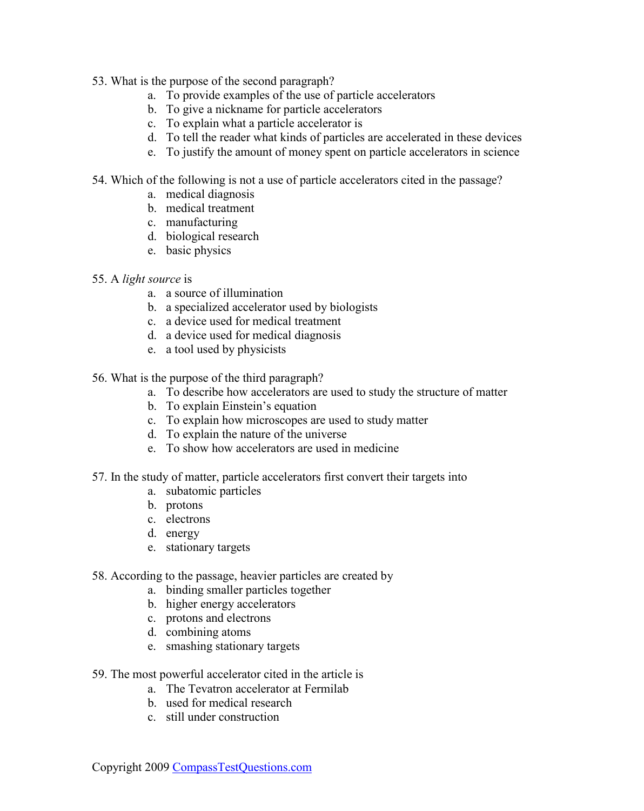- 53. What is the purpose of the second paragraph?
	- a. To provide examples of the use of particle accelerators
	- b. To give a nickname for particle accelerators
	- c. To explain what a particle accelerator is
	- d. To tell the reader what kinds of particles are accelerated in these devices
	- e. To justify the amount of money spent on particle accelerators in science
- 54. Which of the following is not a use of particle accelerators cited in the passage?
	- a. medical diagnosis
	- b. medical treatment
	- c. manufacturing
	- d. biological research
	- e. basic physics
- 55. A *light source* is
	- a. a source of illumination
	- b. a specialized accelerator used by biologists
	- c. a device used for medical treatment
	- d. a device used for medical diagnosis
	- e. a tool used by physicists

56. What is the purpose of the third paragraph?

- a. To describe how accelerators are used to study the structure of matter
- b. To explain Einstein's equation
- c. To explain how microscopes are used to study matter
- d. To explain the nature of the universe
- e. To show how accelerators are used in medicine
- 57. In the study of matter, particle accelerators first convert their targets into
	- a. subatomic particles
	- b. protons
	- c. electrons
	- d. energy
	- e. stationary targets
- 58. According to the passage, heavier particles are created by
	- a. binding smaller particles together
	- b. higher energy accelerators
	- c. protons and electrons
	- d. combining atoms
	- e. smashing stationary targets
- 59. The most powerful accelerator cited in the article is
	- a. The Tevatron accelerator at Fermilab
	- b. used for medical research
	- c. still under construction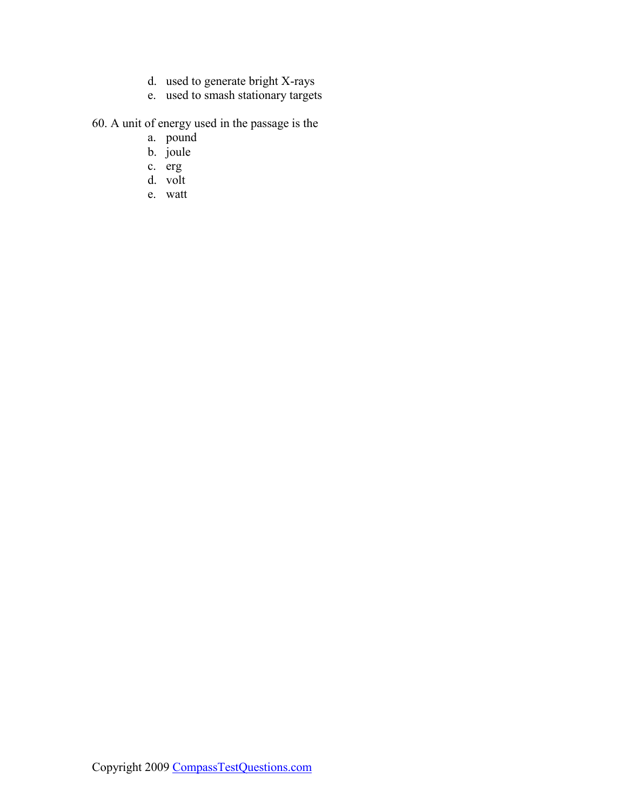- d. used to generate bright X-rays
- e. used to smash stationary targets

60. A unit of energy used in the passage is the

- a. pound
- b. joule
- c. erg
- d. volt
- e. watt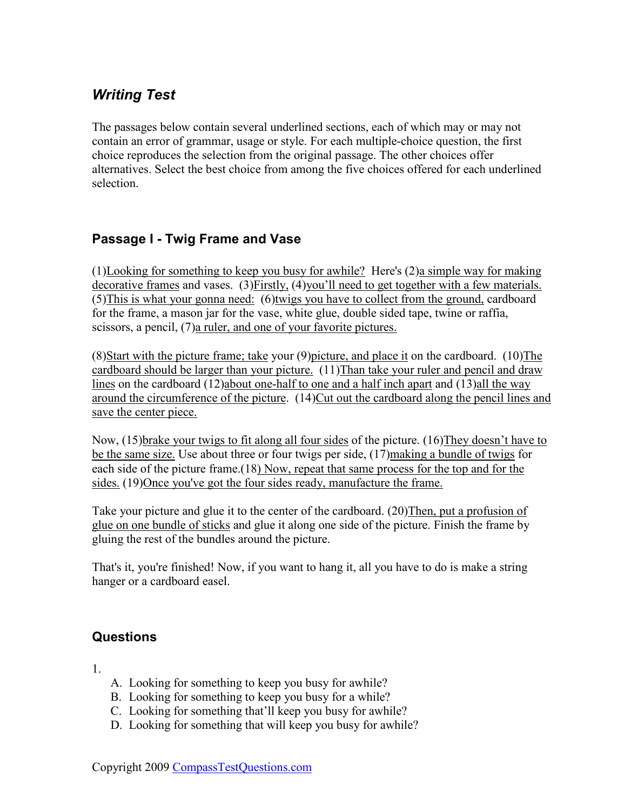# <span id="page-30-0"></span>*Writing Test*

The passages below contain several underlined sections, each of which may or may not contain an error of grammar, usage or style. For each multiple-choice question, the first choice reproduces the selection from the original passage. The other choices offer alternatives. Select the best choice from among the five choices offered for each underlined selection.

### **Passage I - Twig Frame and Vase**

(1)Looking for something to keep you busy for awhile? Here's (2)a simple way for making decorative frames and vases. (3)Firstly, (4)you'll need to get together with a few materials. (5)This is what your gonna need: (6)twigs you have to collect from the ground, cardboard for the frame, a mason jar for the vase, white glue, double sided tape, twine or raffia, scissors, a pencil, (7)a ruler, and one of your favorite pictures.

(8)Start with the picture frame; take your (9)picture, and place it on the cardboard. (10)The cardboard should be larger than your picture. (11)Than take your ruler and pencil and draw lines on the cardboard (12)about one-half to one and a half inch apart and (13)all the way around the circumference of the picture. (14)Cut out the cardboard along the pencil lines and save the center piece.

Now, (15)brake your twigs to fit along all four sides of the picture. (16)They doesn't have to be the same size. Use about three or four twigs per side, (17) making a bundle of twigs for each side of the picture frame.(18) Now, repeat that same process for the top and for the sides. (19)Once you've got the four sides ready, manufacture the frame.

Take your picture and glue it to the center of the cardboard. (20)Then, put a profusion of glue on one bundle of sticks and glue it along one side of the picture. Finish the frame by gluing the rest of the bundles around the picture.

That's it, you're finished! Now, if you want to hang it, all you have to do is make a string hanger or a cardboard easel.

### **Questions**

1.

- A. Looking for something to keep you busy for awhile?
- B. Looking for something to keep you busy for a while?
- C. Looking for something that'll keep you busy for awhile?
- D. Looking for something that will keep you busy for awhile?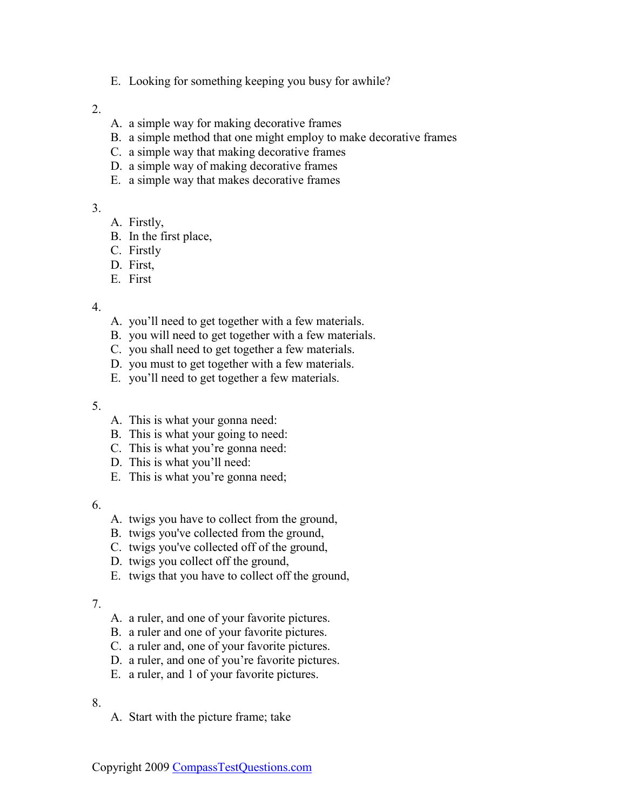E. Looking for something keeping you busy for awhile?

#### 2.

- A. a simple way for making decorative frames
- B. a simple method that one might employ to make decorative frames
- C. a simple way that making decorative frames
- D. a simple way of making decorative frames
- E. a simple way that makes decorative frames

#### 3.

- A. Firstly,
- B. In the first place,
- C. Firstly
- D. First,
- E. First

#### 4.

- A. you'll need to get together with a few materials.
- B. you will need to get together with a few materials.
- C. you shall need to get together a few materials.
- D. you must to get together with a few materials.
- E. you'll need to get together a few materials.

#### 5.

- A. This is what your gonna need:
- B. This is what your going to need:
- C. This is what you're gonna need:
- D. This is what you'll need:
- E. This is what you're gonna need;

#### 6.

- A. twigs you have to collect from the ground,
- B. twigs you've collected from the ground,
- C. twigs you've collected off of the ground,
- D. twigs you collect off the ground,
- E. twigs that you have to collect off the ground,

#### 7.

- A. a ruler, and one of your favorite pictures.
- B. a ruler and one of your favorite pictures.
- C. a ruler and, one of your favorite pictures.
- D. a ruler, and one of you're favorite pictures.
- E. a ruler, and 1 of your favorite pictures.

#### 8.

A. Start with the picture frame; take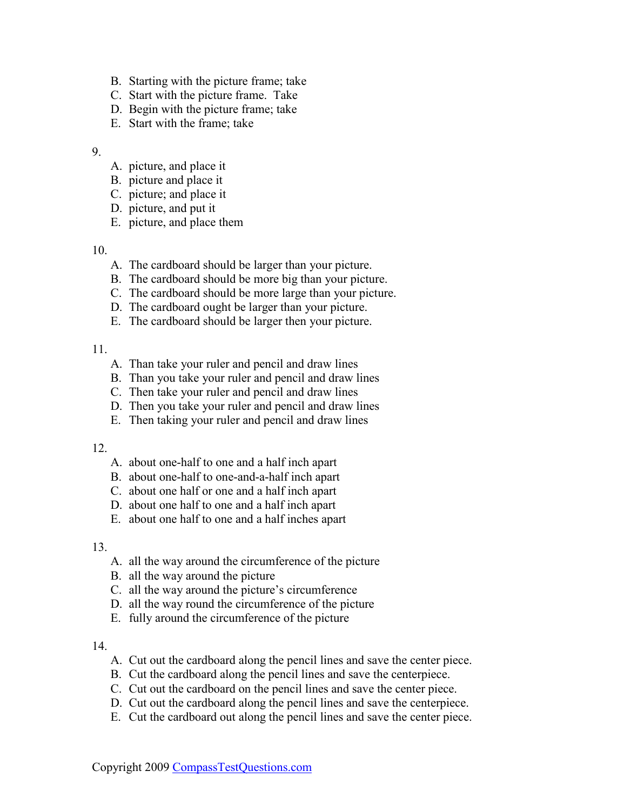- B. Starting with the picture frame; take
- C. Start with the picture frame. Take
- D. Begin with the picture frame; take
- E. Start with the frame; take

- A. picture, and place it
- B. picture and place it
- C. picture; and place it
- D. picture, and put it
- E. picture, and place them

#### 10.

- A. The cardboard should be larger than your picture.
- B. The cardboard should be more big than your picture.
- C. The cardboard should be more large than your picture.
- D. The cardboard ought be larger than your picture.
- E. The cardboard should be larger then your picture.

#### 11.

- A. Than take your ruler and pencil and draw lines
- B. Than you take your ruler and pencil and draw lines
- C. Then take your ruler and pencil and draw lines
- D. Then you take your ruler and pencil and draw lines
- E. Then taking your ruler and pencil and draw lines

### 12.

- A. about one-half to one and a half inch apart
- B. about one-half to one-and-a-half inch apart
- C. about one half or one and a half inch apart
- D. about one half to one and a half inch apart
- E. about one half to one and a half inches apart

#### 13.

- A. all the way around the circumference of the picture
- B. all the way around the picture
- C. all the way around the picture's circumference
- D. all the way round the circumference of the picture
- E. fully around the circumference of the picture

#### 14.

- A. Cut out the cardboard along the pencil lines and save the center piece.
- B. Cut the cardboard along the pencil lines and save the centerpiece.
- C. Cut out the cardboard on the pencil lines and save the center piece.
- D. Cut out the cardboard along the pencil lines and save the centerpiece.
- E. Cut the cardboard out along the pencil lines and save the center piece.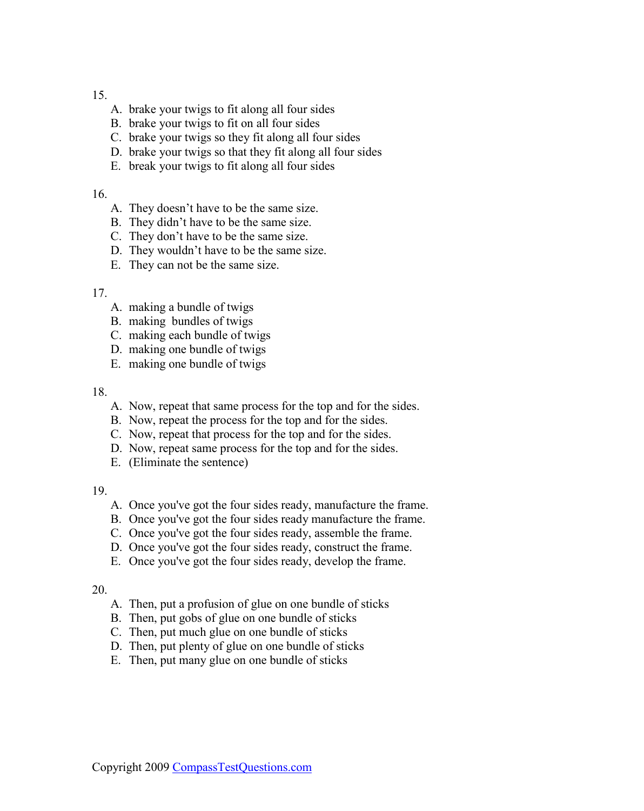- A. brake your twigs to fit along all four sides
- B. brake your twigs to fit on all four sides
- C. brake your twigs so they fit along all four sides
- D. brake your twigs so that they fit along all four sides
- E. break your twigs to fit along all four sides

#### 16.

- A. They doesn't have to be the same size.
- B. They didn't have to be the same size.
- C. They don't have to be the same size.
- D. They wouldn't have to be the same size.
- E. They can not be the same size.

#### 17.

- A. making a bundle of twigs
- B. making bundles of twigs
- C. making each bundle of twigs
- D. making one bundle of twigs
- E. making one bundle of twigs

#### 18.

- A. Now, repeat that same process for the top and for the sides.
- B. Now, repeat the process for the top and for the sides.
- C. Now, repeat that process for the top and for the sides.
- D. Now, repeat same process for the top and for the sides.
- E. (Eliminate the sentence)

#### 19.

- A. Once you've got the four sides ready, manufacture the frame.
- B. Once you've got the four sides ready manufacture the frame.
- C. Once you've got the four sides ready, assemble the frame.
- D. Once you've got the four sides ready, construct the frame.
- E. Once you've got the four sides ready, develop the frame.

#### 20.

- A. Then, put a profusion of glue on one bundle of sticks
- B. Then, put gobs of glue on one bundle of sticks
- C. Then, put much glue on one bundle of sticks
- D. Then, put plenty of glue on one bundle of sticks
- E. Then, put many glue on one bundle of sticks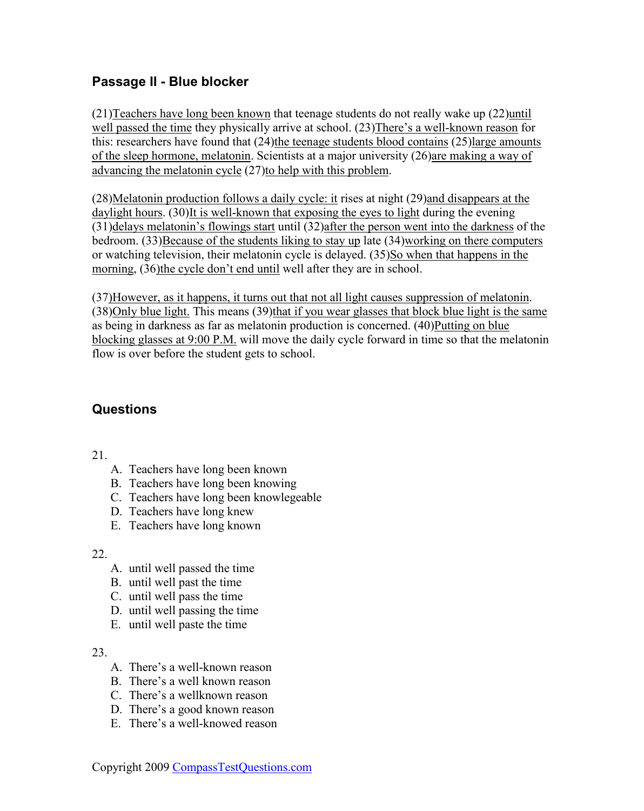### <span id="page-34-0"></span>**Passage II - Blue blocker**

(21)Teachers have long been known that teenage students do not really wake up (22)until well passed the time they physically arrive at school. (23)There's a well-known reason for this: researchers have found that (24)the teenage students blood contains (25)large amounts of the sleep hormone, melatonin. Scientists at a major university (26)are making a way of advancing the melatonin cycle (27)to help with this problem.

(28)Melatonin production follows a daily cycle: it rises at night (29)and disappears at the daylight hours. (30)It is well-known that exposing the eyes to light during the evening (31)delays melatonin's flowings start until (32)after the person went into the darkness of the bedroom. (33)Because of the students liking to stay up late (34)working on there computers or watching television, their melatonin cycle is delayed. (35)So when that happens in the morning, (36)the cycle don't end until well after they are in school.

(37)However, as it happens, it turns out that not all light causes suppression of melatonin. (38)Only blue light. This means (39)that if you wear glasses that block blue light is the same as being in darkness as far as melatonin production is concerned. (40)Putting on blue blocking glasses at 9:00 P.M. will move the daily cycle forward in time so that the melatonin flow is over before the student gets to school.

### **Questions**

21.

- A. Teachers have long been known
- B. Teachers have long been knowing
- C. Teachers have long been knowlegeable
- D. Teachers have long knew
- E. Teachers have long known

#### 22.

- A. until well passed the time
- B. until well past the time
- C. until well pass the time
- D. until well passing the time
- E. until well paste the time

#### 23.

- A. There's a well-known reason
- B. There's a well known reason
- C. There's a wellknown reason
- D. There's a good known reason
- E. There's a well-knowed reason

Copyright 2009 [CompassTestQuestions.com](http://www.compasstestquestions.com/)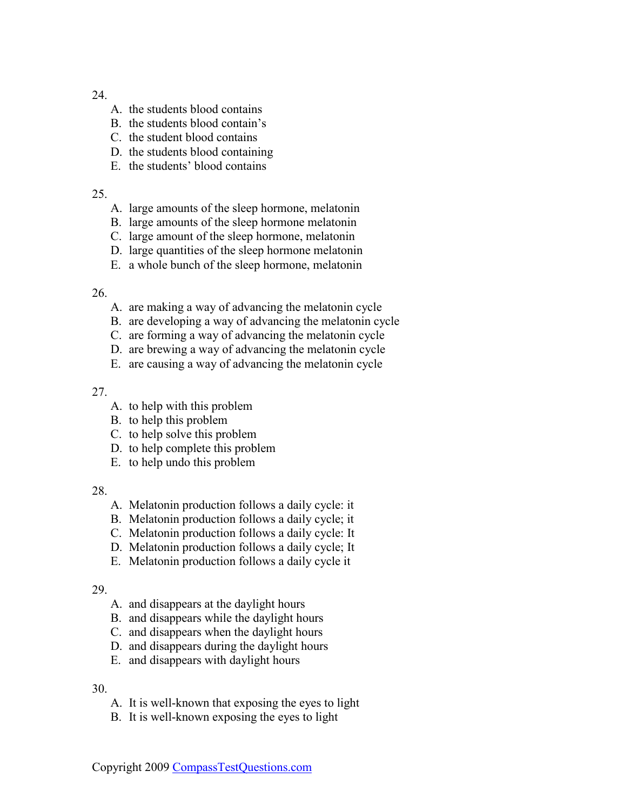- A. the students blood contains
- B. the students blood contain's
- C. the student blood contains
- D. the students blood containing
- E. the students' blood contains

#### 25.

- A. large amounts of the sleep hormone, melatonin
- B. large amounts of the sleep hormone melatonin
- C. large amount of the sleep hormone, melatonin
- D. large quantities of the sleep hormone melatonin
- E. a whole bunch of the sleep hormone, melatonin

#### 26.

- A. are making a way of advancing the melatonin cycle
- B. are developing a way of advancing the melatonin cycle
- C. are forming a way of advancing the melatonin cycle
- D. are brewing a way of advancing the melatonin cycle
- E. are causing a way of advancing the melatonin cycle

#### 27.

- A. to help with this problem
- B. to help this problem
- C. to help solve this problem
- D. to help complete this problem
- E. to help undo this problem

#### 28.

- A. Melatonin production follows a daily cycle: it
- B. Melatonin production follows a daily cycle; it
- C. Melatonin production follows a daily cycle: It
- D. Melatonin production follows a daily cycle; It
- E. Melatonin production follows a daily cycle it

#### 29.

- A. and disappears at the daylight hours
- B. and disappears while the daylight hours
- C. and disappears when the daylight hours
- D. and disappears during the daylight hours
- E. and disappears with daylight hours

30.

- A. It is well-known that exposing the eyes to light
- B. It is well-known exposing the eyes to light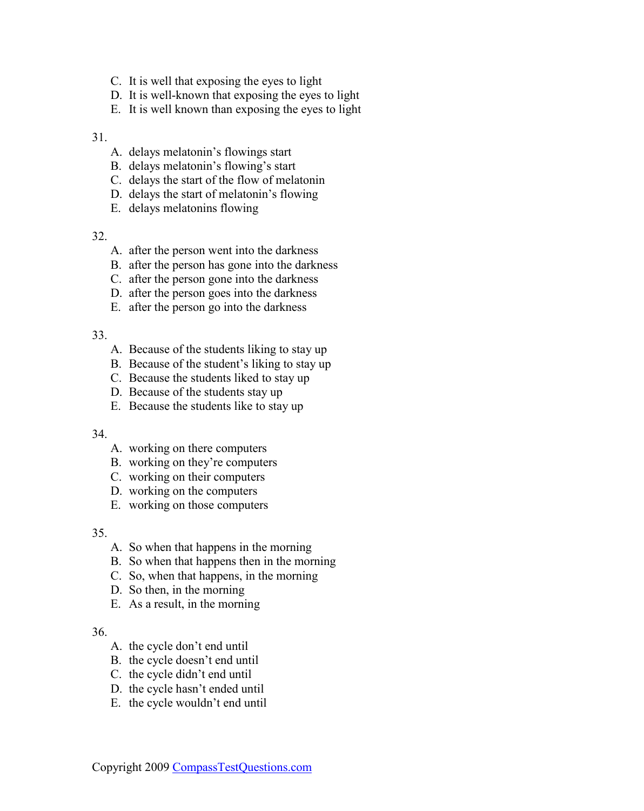- C. It is well that exposing the eyes to light
- D. It is well-known that exposing the eyes to light
- E. It is well known than exposing the eyes to light

- A. delays melatonin's flowings start
- B. delays melatonin's flowing's start
- C. delays the start of the flow of melatonin
- D. delays the start of melatonin's flowing
- E. delays melatonins flowing

#### 32.

- A. after the person went into the darkness
- B. after the person has gone into the darkness
- C. after the person gone into the darkness
- D. after the person goes into the darkness
- E. after the person go into the darkness

#### 33.

- A. Because of the students liking to stay up
- B. Because of the student's liking to stay up
- C. Because the students liked to stay up
- D. Because of the students stay up
- E. Because the students like to stay up

#### 34.

- A. working on there computers
- B. working on they're computers
- C. working on their computers
- D. working on the computers
- E. working on those computers

#### 35.

- A. So when that happens in the morning
- B. So when that happens then in the morning
- C. So, when that happens, in the morning
- D. So then, in the morning
- E. As a result, in the morning

#### 36.

- A. the cycle don't end until
- B. the cycle doesn't end until
- C. the cycle didn't end until
- D. the cycle hasn't ended until
- E. the cycle wouldn't end until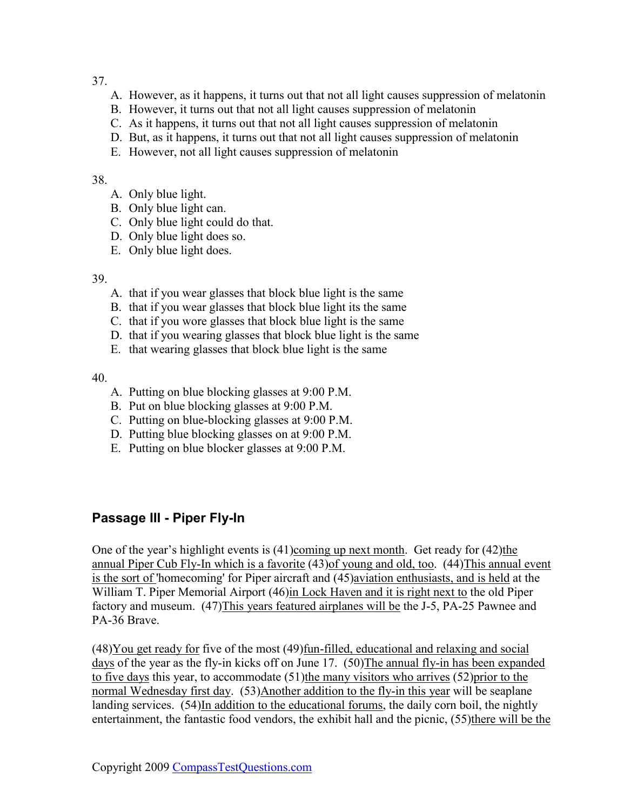- <span id="page-37-0"></span>A. However, as it happens, it turns out that not all light causes suppression of melatonin
- B. However, it turns out that not all light causes suppression of melatonin
- C. As it happens, it turns out that not all light causes suppression of melatonin
- D. But, as it happens, it turns out that not all light causes suppression of melatonin
- E. However, not all light causes suppression of melatonin

#### 38.

- A. Only blue light.
- B. Only blue light can.
- C. Only blue light could do that.
- D. Only blue light does so.
- E. Only blue light does.

#### 39.

- A. that if you wear glasses that block blue light is the same
- B. that if you wear glasses that block blue light its the same
- C. that if you wore glasses that block blue light is the same
- D. that if you wearing glasses that block blue light is the same
- E. that wearing glasses that block blue light is the same

#### 40.

- A. Putting on blue blocking glasses at 9:00 P.M.
- B. Put on blue blocking glasses at 9:00 P.M.
- C. Putting on blue-blocking glasses at 9:00 P.M.
- D. Putting blue blocking glasses on at 9:00 P.M.
- E. Putting on blue blocker glasses at 9:00 P.M.

### **Passage III - Piper Fly-In**

One of the year's highlight events is  $(41)$ coming up next month. Get ready for  $(42)$ the annual Piper Cub Fly-In which is a favorite (43)of young and old, too. (44)This annual event is the sort of 'homecoming' for Piper aircraft and (45)aviation enthusiasts, and is held at the William T. Piper Memorial Airport (46)in Lock Haven and it is right next to the old Piper factory and museum. (47)This years featured airplanes will be the J-5, PA-25 Pawnee and PA-36 Brave.

(48)You get ready for five of the most (49)fun-filled, educational and relaxing and social days of the year as the fly-in kicks off on June 17. (50)The annual fly-in has been expanded to five days this year, to accommodate (51)the many visitors who arrives (52)prior to the normal Wednesday first day. (53)Another addition to the fly-in this year will be seaplane landing services. (54)In addition to the educational forums, the daily corn boil, the nightly entertainment, the fantastic food vendors, the exhibit hall and the picnic, (55)there will be the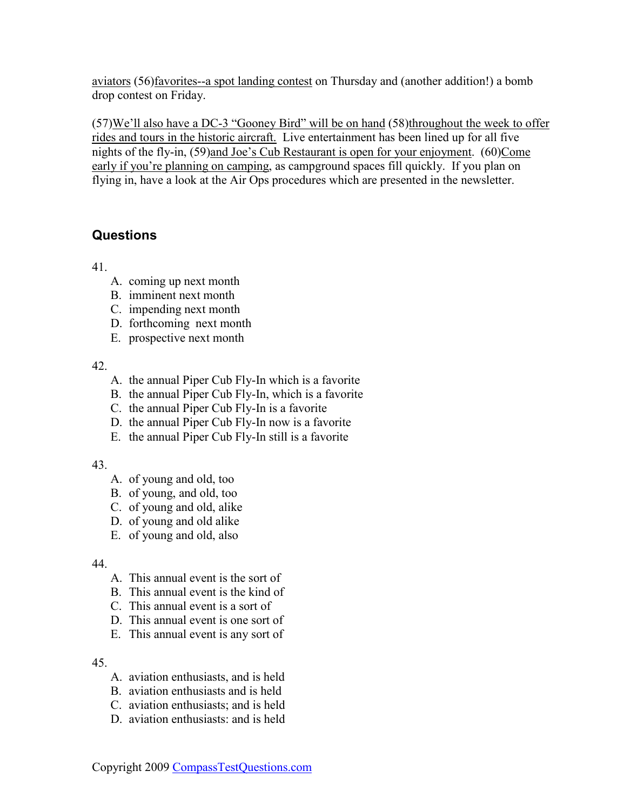<span id="page-38-0"></span>aviators (56)favorites--a spot landing contest on Thursday and (another addition!) a bomb drop contest on Friday.

(57)We'll also have a DC-3 "Gooney Bird" will be on hand (58)throughout the week to offer rides and tours in the historic aircraft. Live entertainment has been lined up for all five nights of the fly-in, (59)and Joe's Cub Restaurant is open for your enjoyment. (60)Come early if you're planning on camping, as campground spaces fill quickly. If you plan on flying in, have a look at the Air Ops procedures which are presented in the newsletter.

### **Questions**

41.

- A. coming up next month
- B. imminent next month
- C. impending next month
- D. forthcoming next month
- E. prospective next month

42.

- A. the annual Piper Cub Fly-In which is a favorite
- B. the annual Piper Cub Fly-In, which is a favorite
- C. the annual Piper Cub Fly-In is a favorite
- D. the annual Piper Cub Fly-In now is a favorite
- E. the annual Piper Cub Fly-In still is a favorite

#### 43.

- A. of young and old, too
- B. of young, and old, too
- C. of young and old, alike
- D. of young and old alike
- E. of young and old, also

44.

- A. This annual event is the sort of
- B. This annual event is the kind of
- C. This annual event is a sort of
- D. This annual event is one sort of
- E. This annual event is any sort of

45.

- A. aviation enthusiasts, and is held
- B. aviation enthusiasts and is held
- C. aviation enthusiasts; and is held
- D. aviation enthusiasts: and is held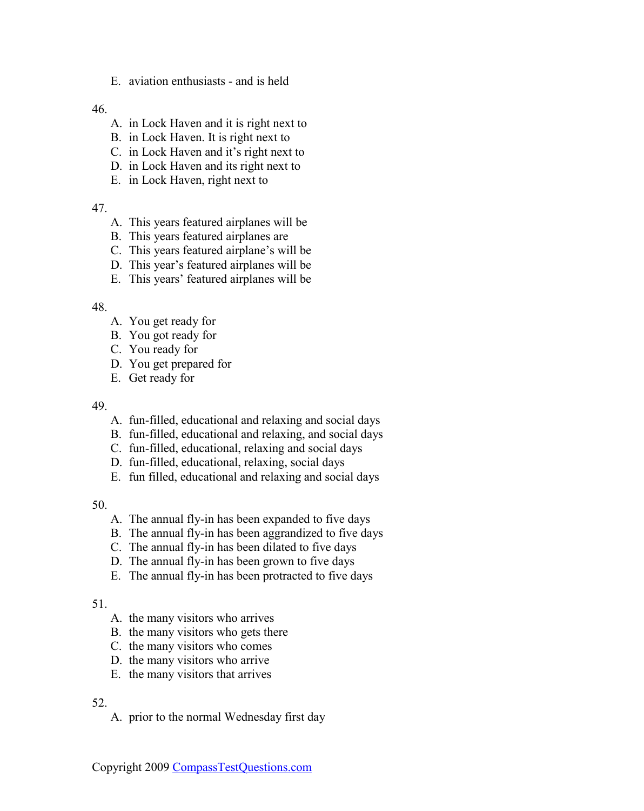E. aviation enthusiasts - and is held

46.

- A. in Lock Haven and it is right next to
- B. in Lock Haven. It is right next to
- C. in Lock Haven and it's right next to
- D. in Lock Haven and its right next to
- E. in Lock Haven, right next to

47.

- A. This years featured airplanes will be
- B. This years featured airplanes are
- C. This years featured airplane's will be
- D. This year's featured airplanes will be
- E. This years' featured airplanes will be

#### 48.

- A. You get ready for
- B. You got ready for
- C. You ready for
- D. You get prepared for
- E. Get ready for

#### 49.

- A. fun-filled, educational and relaxing and social days
- B. fun-filled, educational and relaxing, and social days
- C. fun-filled, educational, relaxing and social days
- D. fun-filled, educational, relaxing, social days
- E. fun filled, educational and relaxing and social days

50.

- A. The annual fly-in has been expanded to five days
- B. The annual fly-in has been aggrandized to five days
- C. The annual fly-in has been dilated to five days
- D. The annual fly-in has been grown to five days
- E. The annual fly-in has been protracted to five days

#### 51.

- A. the many visitors who arrives
- B. the many visitors who gets there
- C. the many visitors who comes
- D. the many visitors who arrive
- E. the many visitors that arrives

#### 52.

A. prior to the normal Wednesday first day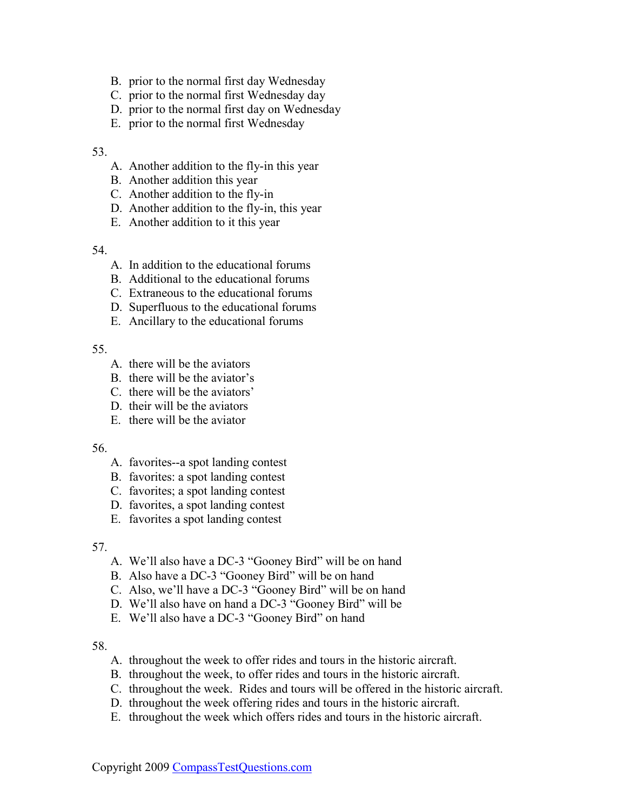- B. prior to the normal first day Wednesday
- C. prior to the normal first Wednesday day
- D. prior to the normal first day on Wednesday
- E. prior to the normal first Wednesday

- A. Another addition to the fly-in this year
- B. Another addition this year
- C. Another addition to the fly-in
- D. Another addition to the fly-in, this year
- E. Another addition to it this year

#### 54.

- A. In addition to the educational forums
- B. Additional to the educational forums
- C. Extraneous to the educational forums
- D. Superfluous to the educational forums
- E. Ancillary to the educational forums

#### 55.

- A. there will be the aviators
- B. there will be the aviator's
- C. there will be the aviators'
- D. their will be the aviators
- E. there will be the aviator

#### 56.

- A. favorites--a spot landing contest
- B. favorites: a spot landing contest
- C. favorites; a spot landing contest
- D. favorites, a spot landing contest
- E. favorites a spot landing contest

#### 57.

- A. We'll also have a DC-3 "Gooney Bird" will be on hand
- B. Also have a DC-3 "Gooney Bird" will be on hand
- C. Also, we'll have a DC-3 "Gooney Bird" will be on hand
- D. We'll also have on hand a DC-3 "Gooney Bird" will be
- E. We'll also have a DC-3 "Gooney Bird" on hand

#### 58.

- A. throughout the week to offer rides and tours in the historic aircraft.
- B. throughout the week, to offer rides and tours in the historic aircraft.
- C. throughout the week. Rides and tours will be offered in the historic aircraft.
- D. throughout the week offering rides and tours in the historic aircraft.
- E. throughout the week which offers rides and tours in the historic aircraft.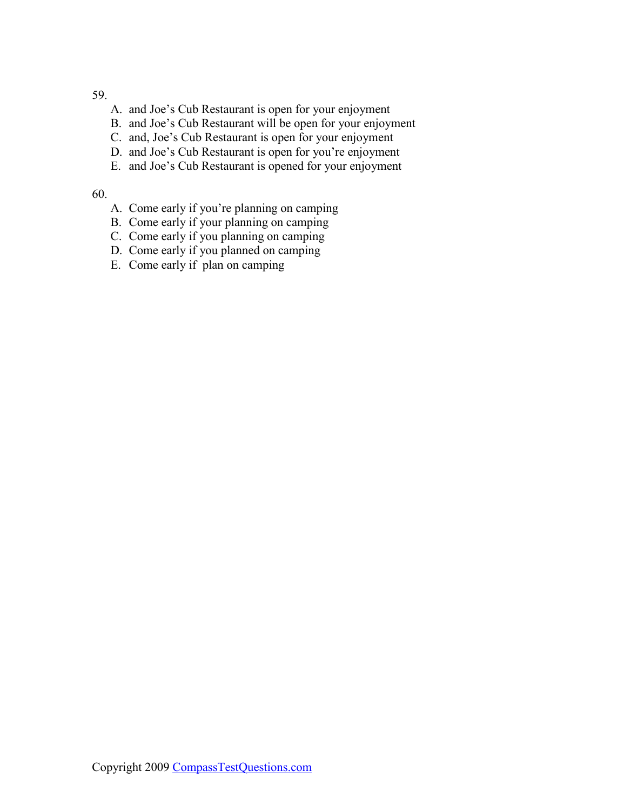- A. and Joe's Cub Restaurant is open for your enjoyment
- B. and Joe's Cub Restaurant will be open for your enjoyment
- C. and, Joe's Cub Restaurant is open for your enjoyment
- D. and Joe's Cub Restaurant is open for you're enjoyment
- E. and Joe's Cub Restaurant is opened for your enjoyment

#### 60.

- A. Come early if you're planning on camping
- B. Come early if your planning on camping
- C. Come early if you planning on camping
- D. Come early if you planned on camping
- E. Come early if plan on camping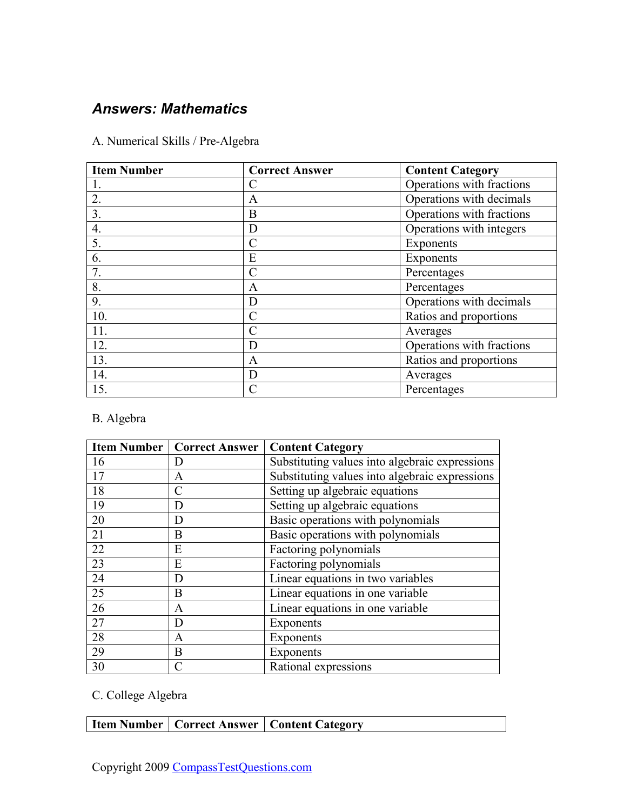# <span id="page-42-0"></span>*Answers: Mathematics*

|  | A. Numerical Skills / Pre-Algebra |  |  |  |
|--|-----------------------------------|--|--|--|
|--|-----------------------------------|--|--|--|

| <b>Item Number</b> | <b>Correct Answer</b> | <b>Content Category</b>   |
|--------------------|-----------------------|---------------------------|
|                    | C                     | Operations with fractions |
| $\overline{2}$ .   | A                     | Operations with decimals  |
| 3.                 | B                     | Operations with fractions |
| 4.                 | D                     | Operations with integers  |
| 5.                 | $\mathcal{C}$         | Exponents                 |
| 6.                 | E                     | Exponents                 |
| 7.                 | $\mathcal{C}$         | Percentages               |
| 8.                 | A                     | Percentages               |
| 9.                 | D                     | Operations with decimals  |
| 10.                | $\mathcal{C}$         | Ratios and proportions    |
| 11.                | $\mathcal{C}$         | Averages                  |
| $\overline{12}$ .  | D                     | Operations with fractions |
| 13.                | A                     | Ratios and proportions    |
| 14.                | D                     | Averages                  |
| 15.                | $\mathcal{C}$         | Percentages               |

### B. Algebra

|                 | <b>Item Number   Correct Answer</b> | <b>Content Category</b>                        |
|-----------------|-------------------------------------|------------------------------------------------|
| 16              | D                                   | Substituting values into algebraic expressions |
| 17              | A                                   | Substituting values into algebraic expressions |
| 18              | $\mathcal{C}$                       | Setting up algebraic equations                 |
| 19              | D                                   | Setting up algebraic equations                 |
| 20              | D                                   | Basic operations with polynomials              |
| 21              | B                                   | Basic operations with polynomials              |
| 22              | E                                   | Factoring polynomials                          |
| 23              | E                                   | Factoring polynomials                          |
| 24              | D                                   | Linear equations in two variables              |
| $\overline{25}$ | B                                   | Linear equations in one variable               |
| 26              | A                                   | Linear equations in one variable               |
| 27              | D                                   | Exponents                                      |
| $\overline{28}$ | A                                   | Exponents                                      |
| 29              | B                                   | Exponents                                      |
| 30              | $\subset$                           | Rational expressions                           |

# C. College Algebra

|  | Item Number   Correct Answer   Content Category |
|--|-------------------------------------------------|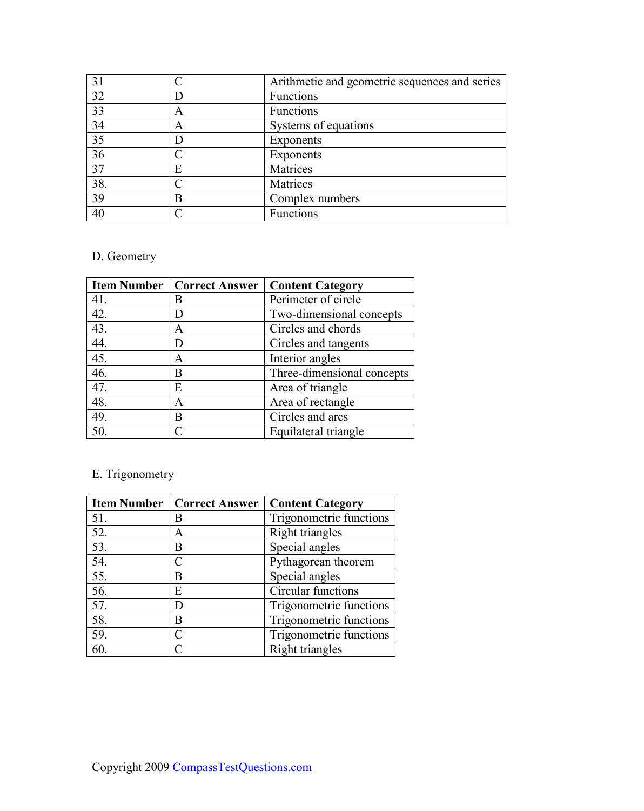| 31  |   | Arithmetic and geometric sequences and series |
|-----|---|-----------------------------------------------|
| 32  |   | Functions                                     |
| 33  | A | <b>Functions</b>                              |
| 34  | Α | Systems of equations                          |
| 35  |   | Exponents                                     |
| 36  |   | Exponents                                     |
| 37  | E | Matrices                                      |
| 38. |   | Matrices                                      |
| 39  | В | Complex numbers                               |
| 40  |   | Functions                                     |

# D. Geometry

|     | <b>Item Number   Correct Answer</b> | <b>Content Category</b>    |
|-----|-------------------------------------|----------------------------|
| 41. | В                                   | Perimeter of circle        |
| 42. | D                                   | Two-dimensional concepts   |
| 43. | Α                                   | Circles and chords         |
| 44. | D                                   | Circles and tangents       |
| 45. | A                                   | Interior angles            |
| 46. | B                                   | Three-dimensional concepts |
| 47. | E                                   | Area of triangle           |
| 48. | A                                   | Area of rectangle          |
| 49. | B                                   | Circles and arcs           |
| 50. |                                     | Equilateral triangle       |

# E. Trigonometry

|     | <b>Item Number   Correct Answer</b> | <b>Content Category</b> |
|-----|-------------------------------------|-------------------------|
| 51. | В                                   | Trigonometric functions |
| 52. | А                                   | Right triangles         |
| 53. | В                                   | Special angles          |
| 54. | C                                   | Pythagorean theorem     |
| 55. | В                                   | Special angles          |
| 56. | E                                   | Circular functions      |
| 57. | D                                   | Trigonometric functions |
| 58. | В                                   | Trigonometric functions |
| 59. | $\subset$                           | Trigonometric functions |
| 60. | ◯                                   | Right triangles         |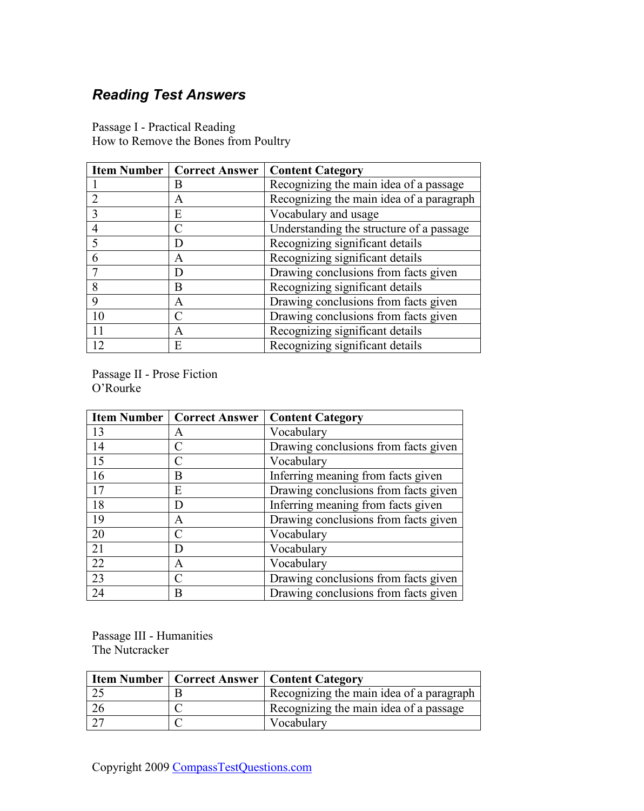# <span id="page-44-0"></span>*Reading Test Answers*

|    | <b>Item Number   Correct Answer  </b> | <b>Content Category</b>                  |
|----|---------------------------------------|------------------------------------------|
|    | B                                     | Recognizing the main idea of a passage   |
|    | A                                     | Recognizing the main idea of a paragraph |
|    | E                                     | Vocabulary and usage                     |
|    |                                       | Understanding the structure of a passage |
|    |                                       | Recognizing significant details          |
|    | A                                     | Recognizing significant details          |
|    |                                       | Drawing conclusions from facts given     |
|    | В                                     | Recognizing significant details          |
|    | A                                     | Drawing conclusions from facts given     |
| 10 |                                       | Drawing conclusions from facts given     |
| 11 | A                                     | Recognizing significant details          |
| 12 | E                                     | Recognizing significant details          |

Passage I - Practical Reading How to Remove the Bones from Poultry

Passage II - Prose Fiction O'Rourke

|    | <b>Item Number   Correct Answer  </b> | <b>Content Category</b>              |
|----|---------------------------------------|--------------------------------------|
| 13 | A                                     | Vocabulary                           |
| 14 | C                                     | Drawing conclusions from facts given |
| 15 | C                                     | Vocabulary                           |
| 16 | В                                     | Inferring meaning from facts given   |
| 17 | Е                                     | Drawing conclusions from facts given |
| 18 | D                                     | Inferring meaning from facts given   |
| 19 | Α                                     | Drawing conclusions from facts given |
| 20 | $\subset$                             | Vocabulary                           |
| 21 | D                                     | Vocabulary                           |
| 22 | A                                     | Vocabulary                           |
| 23 | C                                     | Drawing conclusions from facts given |
| 24 | В                                     | Drawing conclusions from facts given |

Passage III - Humanities The Nutcracker

|      | <b>Item Number   Correct Answer   Content Category</b> |
|------|--------------------------------------------------------|
| ں کے | Recognizing the main idea of a paragraph               |
|      | Recognizing the main idea of a passage                 |
|      | Vocabulary                                             |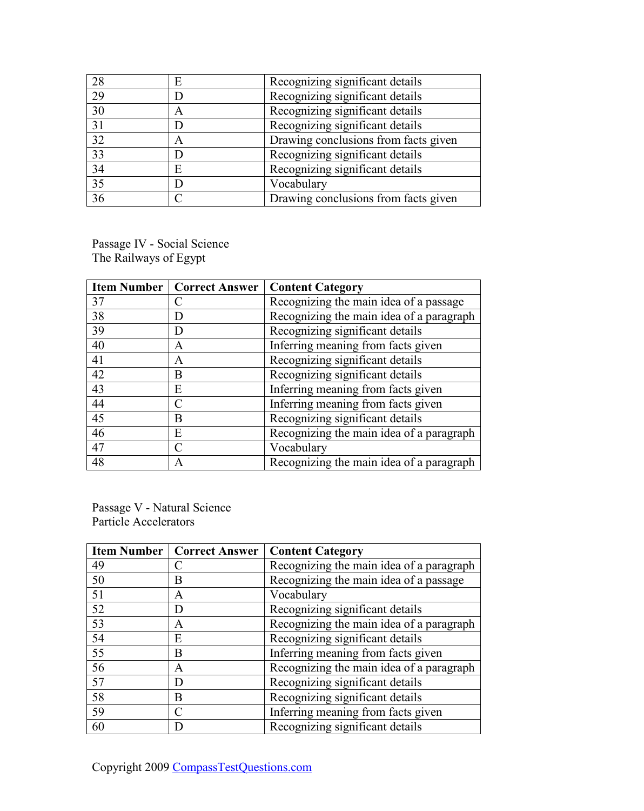| 28              | E | Recognizing significant details      |
|-----------------|---|--------------------------------------|
| 29              |   | Recognizing significant details      |
| $\overline{30}$ | A | Recognizing significant details      |
| 31              |   | Recognizing significant details      |
| $\overline{32}$ | A | Drawing conclusions from facts given |
| 33              |   | Recognizing significant details      |
| $\overline{34}$ | E | Recognizing significant details      |
| $\overline{35}$ |   | Vocabulary                           |
| 36              |   | Drawing conclusions from facts given |

Passage IV - Social Science The Railways of Egypt

|    | <b>Item Number   Correct Answer</b> | <b>Content Category</b>                  |
|----|-------------------------------------|------------------------------------------|
| 37 |                                     | Recognizing the main idea of a passage   |
| 38 |                                     | Recognizing the main idea of a paragraph |
| 39 | I)                                  | Recognizing significant details          |
| 40 | A                                   | Inferring meaning from facts given       |
| 41 | A                                   | Recognizing significant details          |
| 42 | B                                   | Recognizing significant details          |
| 43 | E                                   | Inferring meaning from facts given       |
| 44 |                                     | Inferring meaning from facts given       |
| 45 | B                                   | Recognizing significant details          |
| 46 | Е                                   | Recognizing the main idea of a paragraph |
| 47 |                                     | Vocabulary                               |
| 48 | A                                   | Recognizing the main idea of a paragraph |

Passage V - Natural Science Particle Accelerators

|    | <b>Item Number   Correct Answer</b> | <b>Content Category</b>                  |
|----|-------------------------------------|------------------------------------------|
| 49 |                                     | Recognizing the main idea of a paragraph |
| 50 | В                                   | Recognizing the main idea of a passage   |
| 51 | A                                   | Vocabulary                               |
| 52 |                                     | Recognizing significant details          |
| 53 | A                                   | Recognizing the main idea of a paragraph |
| 54 | E                                   | Recognizing significant details          |
| 55 | В                                   | Inferring meaning from facts given       |
| 56 | А                                   | Recognizing the main idea of a paragraph |
| 57 |                                     | Recognizing significant details          |
| 58 | В                                   | Recognizing significant details          |
| 59 |                                     | Inferring meaning from facts given       |
| 60 |                                     | Recognizing significant details          |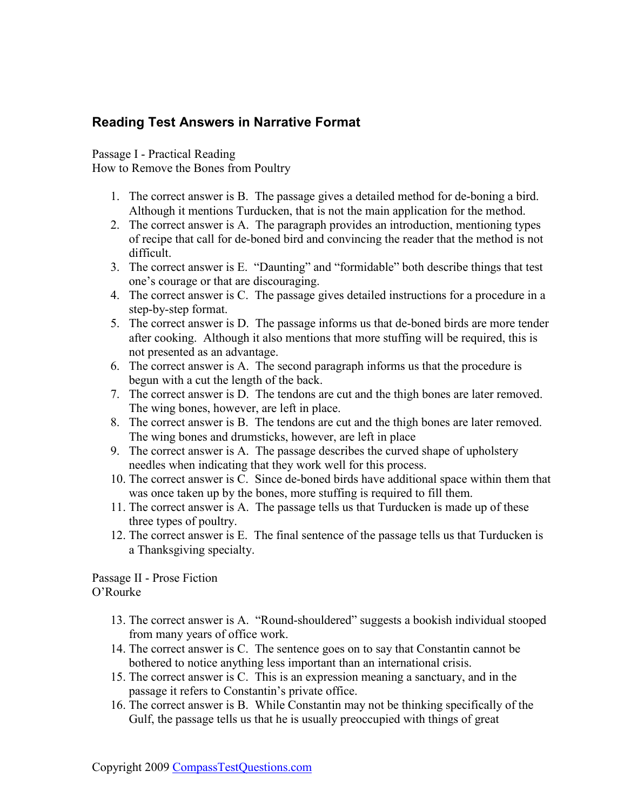### <span id="page-46-0"></span>**Reading Test Answers in Narrative Format**

Passage I - Practical Reading How to Remove the Bones from Poultry

- 1. The correct answer is B. The passage gives a detailed method for de-boning a bird. Although it mentions Turducken, that is not the main application for the method.
- 2. The correct answer is A. The paragraph provides an introduction, mentioning types of recipe that call for de-boned bird and convincing the reader that the method is not difficult.
- 3. The correct answer is E. "Daunting" and "formidable" both describe things that test one's courage or that are discouraging.
- 4. The correct answer is C. The passage gives detailed instructions for a procedure in a step-by-step format.
- 5. The correct answer is D. The passage informs us that de-boned birds are more tender after cooking. Although it also mentions that more stuffing will be required, this is not presented as an advantage.
- 6. The correct answer is A. The second paragraph informs us that the procedure is begun with a cut the length of the back.
- 7. The correct answer is D. The tendons are cut and the thigh bones are later removed. The wing bones, however, are left in place.
- 8. The correct answer is B. The tendons are cut and the thigh bones are later removed. The wing bones and drumsticks, however, are left in place
- 9. The correct answer is A. The passage describes the curved shape of upholstery needles when indicating that they work well for this process.
- 10. The correct answer is C. Since de-boned birds have additional space within them that was once taken up by the bones, more stuffing is required to fill them.
- 11. The correct answer is A. The passage tells us that Turducken is made up of these three types of poultry.
- 12. The correct answer is E. The final sentence of the passage tells us that Turducken is a Thanksgiving specialty.

Passage II - Prose Fiction O'Rourke

- 13. The correct answer is A. "Round-shouldered" suggests a bookish individual stooped from many years of office work.
- 14. The correct answer is C. The sentence goes on to say that Constantin cannot be bothered to notice anything less important than an international crisis.
- 15. The correct answer is C. This is an expression meaning a sanctuary, and in the passage it refers to Constantin's private office.
- 16. The correct answer is B. While Constantin may not be thinking specifically of the Gulf, the passage tells us that he is usually preoccupied with things of great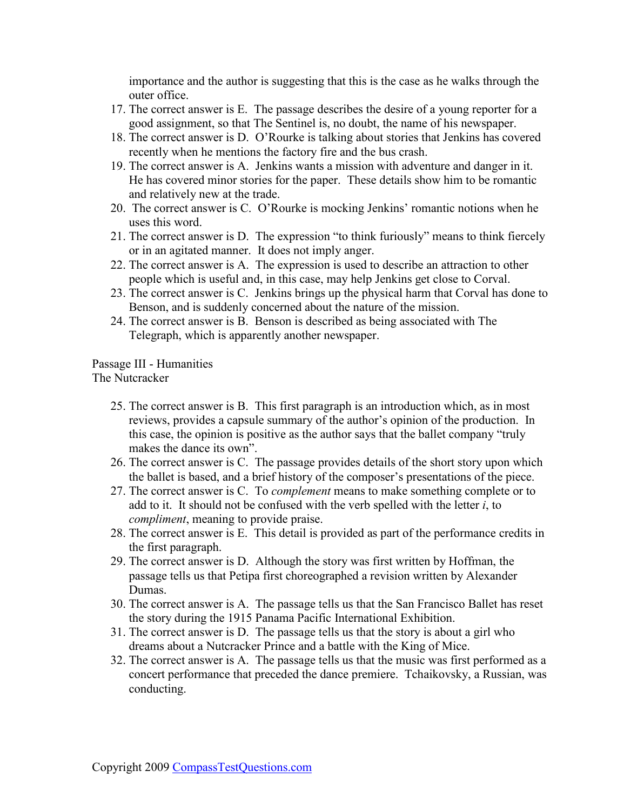importance and the author is suggesting that this is the case as he walks through the outer office.

- 17. The correct answer is E. The passage describes the desire of a young reporter for a good assignment, so that The Sentinel is, no doubt, the name of his newspaper.
- 18. The correct answer is D. O'Rourke is talking about stories that Jenkins has covered recently when he mentions the factory fire and the bus crash.
- 19. The correct answer is A. Jenkins wants a mission with adventure and danger in it. He has covered minor stories for the paper. These details show him to be romantic and relatively new at the trade.
- 20. The correct answer is C. O'Rourke is mocking Jenkins' romantic notions when he uses this word.
- 21. The correct answer is D. The expression "to think furiously" means to think fiercely or in an agitated manner. It does not imply anger.
- 22. The correct answer is A. The expression is used to describe an attraction to other people which is useful and, in this case, may help Jenkins get close to Corval.
- 23. The correct answer is C. Jenkins brings up the physical harm that Corval has done to Benson, and is suddenly concerned about the nature of the mission.
- 24. The correct answer is B. Benson is described as being associated with The Telegraph, which is apparently another newspaper.

Passage III - Humanities

The Nutcracker

- 25. The correct answer is B. This first paragraph is an introduction which, as in most reviews, provides a capsule summary of the author's opinion of the production. In this case, the opinion is positive as the author says that the ballet company "truly makes the dance its own".
- 26. The correct answer is C. The passage provides details of the short story upon which the ballet is based, and a brief history of the composer's presentations of the piece.
- 27. The correct answer is C. To *complement* means to make something complete or to add to it. It should not be confused with the verb spelled with the letter *i*, to *compliment*, meaning to provide praise.
- 28. The correct answer is E. This detail is provided as part of the performance credits in the first paragraph.
- 29. The correct answer is D. Although the story was first written by Hoffman, the passage tells us that Petipa first choreographed a revision written by Alexander Dumas.
- 30. The correct answer is A. The passage tells us that the San Francisco Ballet has reset the story during the 1915 Panama Pacific International Exhibition.
- 31. The correct answer is D. The passage tells us that the story is about a girl who dreams about a Nutcracker Prince and a battle with the King of Mice.
- 32. The correct answer is A. The passage tells us that the music was first performed as a concert performance that preceded the dance premiere. Tchaikovsky, a Russian, was conducting.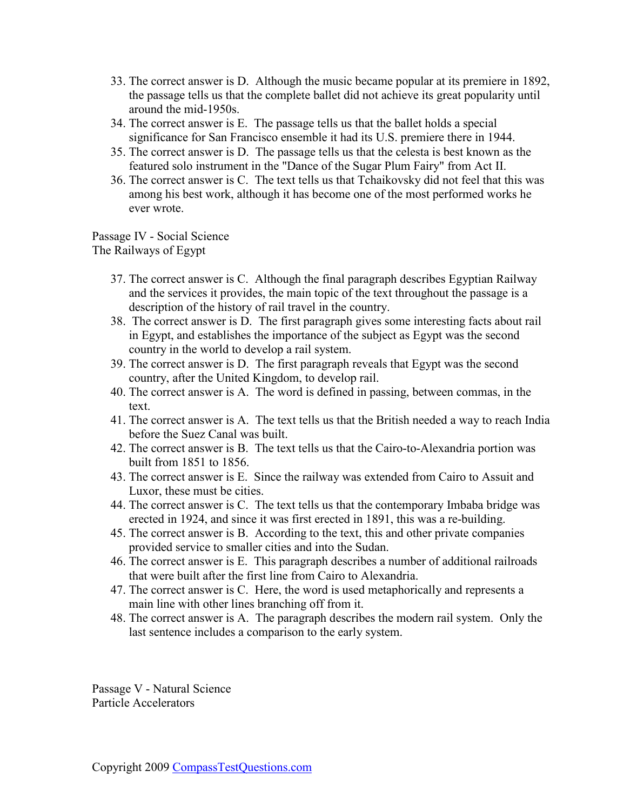- 33. The correct answer is D. Although the music became popular at its premiere in 1892, the passage tells us that the complete ballet did not achieve its great popularity until around the mid-1950s.
- 34. The correct answer is E. The passage tells us that the ballet holds a special significance for San Francisco ensemble it had its U.S. premiere there in 1944.
- 35. The correct answer is D. The passage tells us that the celesta is best known as the featured solo instrument in the "Dance of the Sugar Plum Fairy" from Act II.
- 36. The correct answer is C. The text tells us that Tchaikovsky did not feel that this was among his best work, although it has become one of the most performed works he ever wrote.

Passage IV - Social Science The Railways of Egypt

- 37. The correct answer is C. Although the final paragraph describes Egyptian Railway and the services it provides, the main topic of the text throughout the passage is a description of the history of rail travel in the country.
- 38. The correct answer is D. The first paragraph gives some interesting facts about rail in Egypt, and establishes the importance of the subject as Egypt was the second country in the world to develop a rail system.
- 39. The correct answer is D. The first paragraph reveals that Egypt was the second country, after the United Kingdom, to develop rail.
- 40. The correct answer is A. The word is defined in passing, between commas, in the text.
- 41. The correct answer is A. The text tells us that the British needed a way to reach India before the Suez Canal was built.
- 42. The correct answer is B. The text tells us that the Cairo-to-Alexandria portion was built from 1851 to 1856.
- 43. The correct answer is E. Since the railway was extended from Cairo to Assuit and Luxor, these must be cities.
- 44. The correct answer is C. The text tells us that the contemporary Imbaba bridge was erected in 1924, and since it was first erected in 1891, this was a re-building.
- 45. The correct answer is B. According to the text, this and other private companies provided service to smaller cities and into the Sudan.
- 46. The correct answer is E. This paragraph describes a number of additional railroads that were built after the first line from Cairo to Alexandria.
- 47. The correct answer is C. Here, the word is used metaphorically and represents a main line with other lines branching off from it.
- 48. The correct answer is A. The paragraph describes the modern rail system. Only the last sentence includes a comparison to the early system.

Passage V - Natural Science Particle Accelerators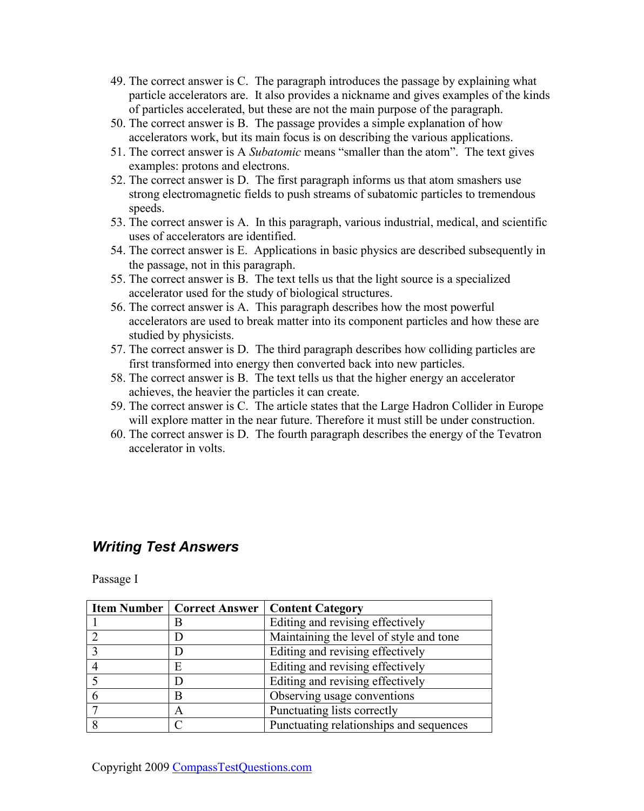- <span id="page-49-0"></span>49. The correct answer is C. The paragraph introduces the passage by explaining what particle accelerators are. It also provides a nickname and gives examples of the kinds of particles accelerated, but these are not the main purpose of the paragraph.
- 50. The correct answer is B. The passage provides a simple explanation of how accelerators work, but its main focus is on describing the various applications.
- 51. The correct answer is A *Subatomic* means "smaller than the atom". The text gives examples: protons and electrons.
- 52. The correct answer is D. The first paragraph informs us that atom smashers use strong electromagnetic fields to push streams of subatomic particles to tremendous speeds.
- 53. The correct answer is A. In this paragraph, various industrial, medical, and scientific uses of accelerators are identified.
- 54. The correct answer is E. Applications in basic physics are described subsequently in the passage, not in this paragraph.
- 55. The correct answer is B. The text tells us that the light source is a specialized accelerator used for the study of biological structures.
- 56. The correct answer is A. This paragraph describes how the most powerful accelerators are used to break matter into its component particles and how these are studied by physicists.
- 57. The correct answer is D. The third paragraph describes how colliding particles are first transformed into energy then converted back into new particles.
- 58. The correct answer is B. The text tells us that the higher energy an accelerator achieves, the heavier the particles it can create.
- 59. The correct answer is C. The article states that the Large Hadron Collider in Europe will explore matter in the near future. Therefore it must still be under construction.
- 60. The correct answer is D. The fourth paragraph describes the energy of the Tevatron accelerator in volts.

### *Writing Test Answers*

Passage I

| <b>Item Number   Correct Answer  </b> | <b>Content Category</b>                 |
|---------------------------------------|-----------------------------------------|
| В                                     | Editing and revising effectively        |
|                                       | Maintaining the level of style and tone |
|                                       | Editing and revising effectively        |
| Е                                     | Editing and revising effectively        |
|                                       | Editing and revising effectively        |
| B                                     | Observing usage conventions             |
| A                                     | Punctuating lists correctly             |
|                                       | Punctuating relationships and sequences |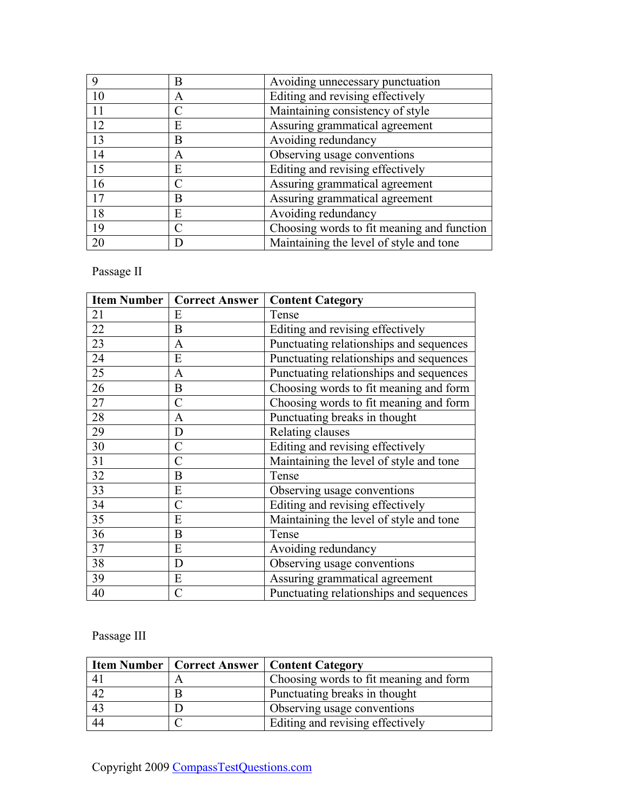|                 | В | Avoiding unnecessary punctuation           |
|-----------------|---|--------------------------------------------|
| 10              | A | Editing and revising effectively           |
| 11              |   | Maintaining consistency of style           |
| 12              | Е | Assuring grammatical agreement             |
| $\overline{13}$ | Β | Avoiding redundancy                        |
| 14              | A | Observing usage conventions                |
| 15              | E | Editing and revising effectively           |
| 16              |   | Assuring grammatical agreement             |
| 17              | B | Assuring grammatical agreement             |
| 18              | E | Avoiding redundancy                        |
| 19              |   | Choosing words to fit meaning and function |
| 20              |   | Maintaining the level of style and tone    |

Passage II

| <b>Item Number</b> | <b>Correct Answer</b>   | <b>Content Category</b>                 |
|--------------------|-------------------------|-----------------------------------------|
| 21                 | Е                       | Tense                                   |
| 22                 | B                       | Editing and revising effectively        |
| 23                 | A                       | Punctuating relationships and sequences |
| 24                 | E                       | Punctuating relationships and sequences |
| $\overline{25}$    | A                       | Punctuating relationships and sequences |
| 26                 | B                       | Choosing words to fit meaning and form  |
| 27                 | C                       | Choosing words to fit meaning and form  |
| 28                 | A                       | Punctuating breaks in thought           |
| 29                 | D                       | Relating clauses                        |
| 30                 | $\mathcal{C}_{0}^{(n)}$ | Editing and revising effectively        |
| 31                 | C                       | Maintaining the level of style and tone |
| 32                 | B                       | Tense                                   |
| 33                 | E                       | Observing usage conventions             |
| 34                 | $\mathcal{C}$           | Editing and revising effectively        |
| 35                 | E                       | Maintaining the level of style and tone |
| 36                 | B                       | Tense                                   |
| 37                 | E                       | Avoiding redundancy                     |
| 38                 | D                       | Observing usage conventions             |
| 39                 | E                       | Assuring grammatical agreement          |
| 40                 | C                       | Punctuating relationships and sequences |

Passage III

|                | <b>Item Number   Correct Answer   Content Category</b> |
|----------------|--------------------------------------------------------|
| 4 <sub>1</sub> | Choosing words to fit meaning and form                 |
| 42             | Punctuating breaks in thought                          |
| 43             | Observing usage conventions                            |
| 44             | Editing and revising effectively                       |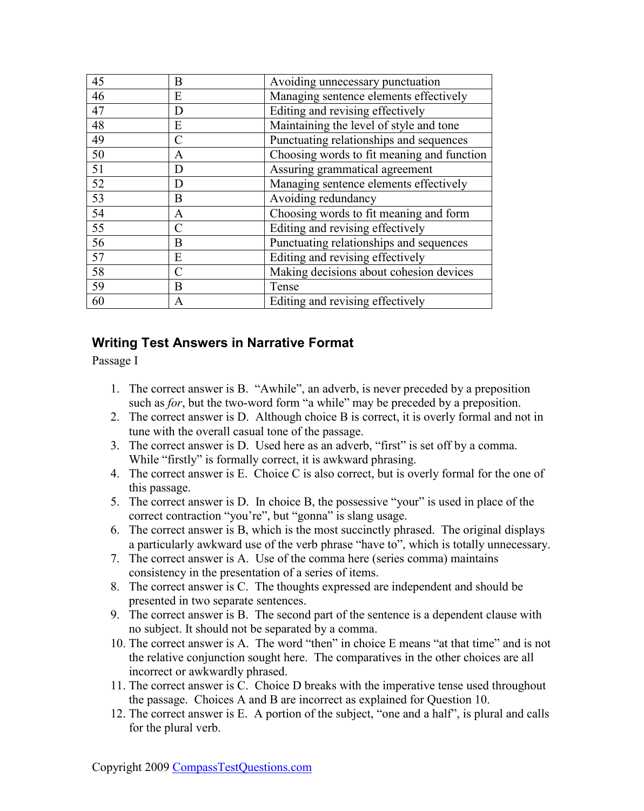<span id="page-51-0"></span>

| 45              | В             | Avoiding unnecessary punctuation           |
|-----------------|---------------|--------------------------------------------|
| 46              | E             | Managing sentence elements effectively     |
| 47              | D             | Editing and revising effectively           |
| 48              | E             | Maintaining the level of style and tone    |
| 49              | $\mathcal{C}$ | Punctuating relationships and sequences    |
| 50              | A             | Choosing words to fit meaning and function |
| 51              | D             | Assuring grammatical agreement             |
| $\overline{52}$ | D             | Managing sentence elements effectively     |
| $\overline{53}$ | B             | Avoiding redundancy                        |
| $\overline{54}$ | A             | Choosing words to fit meaning and form     |
| $\overline{55}$ | $\subset$     | Editing and revising effectively           |
| 56              | B             | Punctuating relationships and sequences    |
| 57              | E             | Editing and revising effectively           |
| $\overline{58}$ | $\subset$     | Making decisions about cohesion devices    |
| 59              | B             | Tense                                      |
| 60              | A             | Editing and revising effectively           |

### **Writing Test Answers in Narrative Format**

Passage I

- 1. The correct answer is B. "Awhile", an adverb, is never preceded by a preposition such as *for*, but the two-word form "a while" may be preceded by a preposition.
- 2. The correct answer is D. Although choice B is correct, it is overly formal and not in tune with the overall casual tone of the passage.
- 3. The correct answer is D. Used here as an adverb, "first" is set off by a comma. While "firstly" is formally correct, it is awkward phrasing.
- 4. The correct answer is E. Choice C is also correct, but is overly formal for the one of this passage.
- 5. The correct answer is D. In choice B, the possessive "your" is used in place of the correct contraction "you're", but "gonna" is slang usage.
- 6. The correct answer is B, which is the most succinctly phrased. The original displays a particularly awkward use of the verb phrase "have to", which is totally unnecessary.
- 7. The correct answer is A. Use of the comma here (series comma) maintains consistency in the presentation of a series of items.
- 8. The correct answer is C. The thoughts expressed are independent and should be presented in two separate sentences.
- 9. The correct answer is B. The second part of the sentence is a dependent clause with no subject. It should not be separated by a comma.
- 10. The correct answer is A. The word "then" in choice E means "at that time" and is not the relative conjunction sought here. The comparatives in the other choices are all incorrect or awkwardly phrased.
- 11. The correct answer is C. Choice D breaks with the imperative tense used throughout the passage. Choices A and B are incorrect as explained for Question 10.
- 12. The correct answer is E. A portion of the subject, "one and a half", is plural and calls for the plural verb.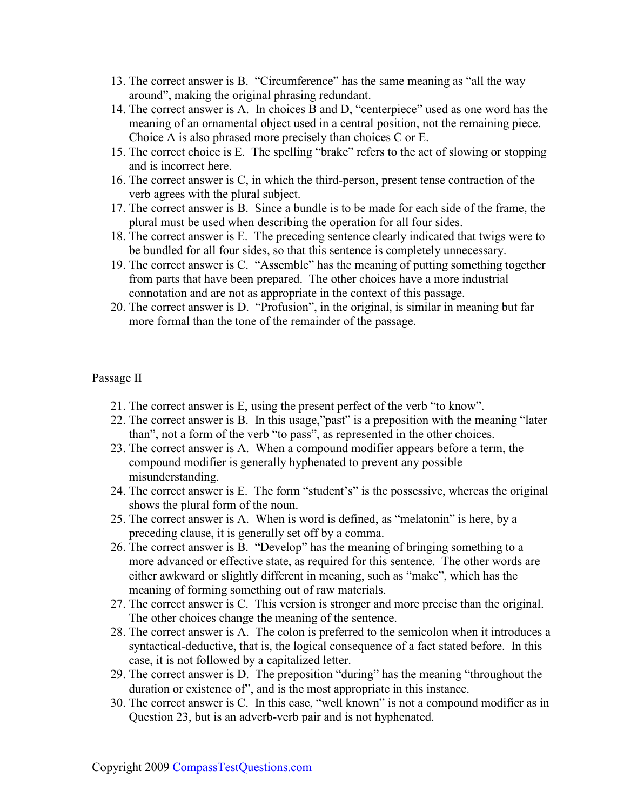- 13. The correct answer is B. "Circumference" has the same meaning as "all the way around", making the original phrasing redundant.
- 14. The correct answer is A. In choices B and D, "centerpiece" used as one word has the meaning of an ornamental object used in a central position, not the remaining piece. Choice A is also phrased more precisely than choices C or E.
- 15. The correct choice is E. The spelling "brake" refers to the act of slowing or stopping and is incorrect here.
- 16. The correct answer is C, in which the third-person, present tense contraction of the verb agrees with the plural subject.
- 17. The correct answer is B. Since a bundle is to be made for each side of the frame, the plural must be used when describing the operation for all four sides.
- 18. The correct answer is E. The preceding sentence clearly indicated that twigs were to be bundled for all four sides, so that this sentence is completely unnecessary.
- 19. The correct answer is C. "Assemble" has the meaning of putting something together from parts that have been prepared. The other choices have a more industrial connotation and are not as appropriate in the context of this passage.
- 20. The correct answer is D. "Profusion", in the original, is similar in meaning but far more formal than the tone of the remainder of the passage.

#### Passage II

- 21. The correct answer is E, using the present perfect of the verb "to know".
- 22. The correct answer is B. In this usage,"past" is a preposition with the meaning "later than", not a form of the verb "to pass", as represented in the other choices.
- 23. The correct answer is A. When a compound modifier appears before a term, the compound modifier is generally hyphenated to prevent any possible misunderstanding.
- 24. The correct answer is E. The form "student's" is the possessive, whereas the original shows the plural form of the noun.
- 25. The correct answer is A. When is word is defined, as "melatonin" is here, by a preceding clause, it is generally set off by a comma.
- 26. The correct answer is B. "Develop" has the meaning of bringing something to a more advanced or effective state, as required for this sentence. The other words are either awkward or slightly different in meaning, such as "make", which has the meaning of forming something out of raw materials.
- 27. The correct answer is C. This version is stronger and more precise than the original. The other choices change the meaning of the sentence.
- 28. The correct answer is A. The colon is preferred to the semicolon when it introduces a syntactical-deductive, that is, the logical consequence of a fact stated before. In this case, it is not followed by a capitalized letter.
- 29. The correct answer is D. The preposition "during" has the meaning "throughout the duration or existence of", and is the most appropriate in this instance.
- 30. The correct answer is C. In this case, "well known" is not a compound modifier as in Question 23, but is an adverb-verb pair and is not hyphenated.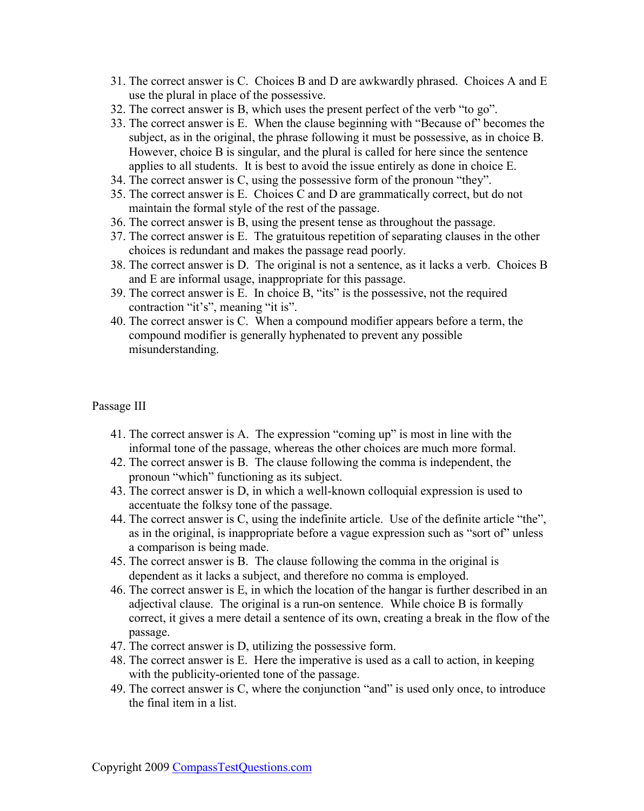- 31. The correct answer is C. Choices B and D are awkwardly phrased. Choices A and E use the plural in place of the possessive.
- 32. The correct answer is B, which uses the present perfect of the verb "to go".
- 33. The correct answer is E. When the clause beginning with "Because of" becomes the subject, as in the original, the phrase following it must be possessive, as in choice B. However, choice B is singular, and the plural is called for here since the sentence applies to all students. It is best to avoid the issue entirely as done in choice E.
- 34. The correct answer is C, using the possessive form of the pronoun "they".
- 35. The correct answer is E. Choices C and D are grammatically correct, but do not maintain the formal style of the rest of the passage.
- 36. The correct answer is B, using the present tense as throughout the passage.
- 37. The correct answer is E. The gratuitous repetition of separating clauses in the other choices is redundant and makes the passage read poorly.
- 38. The correct answer is D. The original is not a sentence, as it lacks a verb. Choices B and E are informal usage, inappropriate for this passage.
- 39. The correct answer is E. In choice B, "its" is the possessive, not the required contraction "it's", meaning "it is".
- 40. The correct answer is C. When a compound modifier appears before a term, the compound modifier is generally hyphenated to prevent any possible misunderstanding.

#### Passage III

- 41. The correct answer is A. The expression "coming up" is most in line with the informal tone of the passage, whereas the other choices are much more formal.
- 42. The correct answer is B. The clause following the comma is independent, the pronoun "which" functioning as its subject.
- 43. The correct answer is D, in which a well-known colloquial expression is used to accentuate the folksy tone of the passage.
- 44. The correct answer is C, using the indefinite article. Use of the definite article "the", as in the original, is inappropriate before a vague expression such as "sort of" unless a comparison is being made.
- 45. The correct answer is B. The clause following the comma in the original is dependent as it lacks a subject, and therefore no comma is employed.
- 46. The correct answer is E, in which the location of the hangar is further described in an adjectival clause. The original is a run-on sentence. While choice B is formally correct, it gives a mere detail a sentence of its own, creating a break in the flow of the passage.
- 47. The correct answer is D, utilizing the possessive form.
- 48. The correct answer is E. Here the imperative is used as a call to action, in keeping with the publicity-oriented tone of the passage.
- 49. The correct answer is C, where the conjunction "and" is used only once, to introduce the final item in a list.